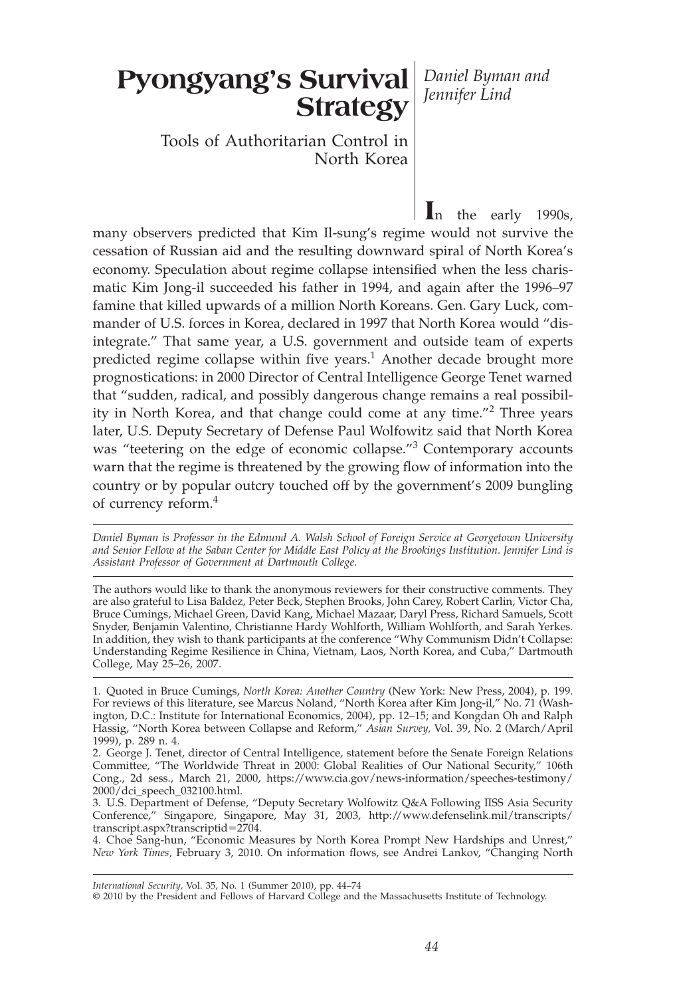# **Pyongyang's Survival Strategy**

*Daniel Byman and Jennifer Lind*

Tools of Authoritarian Control in North Korea

the early 1990s, many observers predicted that Kim Il-sung's regime would not survive the cessation of Russian aid and the resulting downward spiral of North Korea's economy. Speculation about regime collapse intensified when the less charismatic Kim Jong-il succeeded his father in 1994, and again after the 1996–97 famine that killed upwards of a million North Koreans. Gen. Gary Luck, commander of U.S. forces in Korea, declared in 1997 that North Korea would "disintegrate." That same year, a U.S. government and outside team of experts predicted regime collapse within five years.<sup>1</sup> Another decade brought more prognostications: in 2000 Director of Central Intelligence George Tenet warned that "sudden, radical, and possibly dangerous change remains a real possibility in North Korea, and that change could come at any time."<sup>2</sup> Three years later, U.S. Deputy Secretary of Defense Paul Wolfowitz said that North Korea was "teetering on the edge of economic collapse."<sup>3</sup> Contemporary accounts warn that the regime is threatened by the growing flow of information into the country or by popular outcry touched off by the government's 2009 bungling of currency reform.<sup>4</sup>

The authors would like to thank the anonymous reviewers for their constructive comments. They are also grateful to Lisa Baldez, Peter Beck, Stephen Brooks, John Carey, Robert Carlin, Victor Cha, Bruce Cumings, Michael Green, David Kang, Michael Mazaar, Daryl Press, Richard Samuels, Scott Snyder, Benjamin Valentino, Christianne Hardy Wohlforth, William Wohlforth, and Sarah Yerkes. In addition, they wish to thank participants at the conference "Why Communism Didn't Collapse: Understanding Regime Resilience in China, Vietnam, Laos, North Korea, and Cuba," Dartmouth College, May 25–26, 2007.

4. Choe Sang-hun, "Economic Measures by North Korea Prompt New Hardships and Unrest," *New York Times, February 3, 2010. On information flows, see Andrei Lankov, "Changing North* 

*International Security,* Vol. 35, No. 1 (Summer 2010), pp. 44–74

© 2010 by the President and Fellows of Harvard College and the Massachusetts Institute of Technology.

*Daniel Byman is Professor in the Edmund A. Walsh School of Foreign Service at Georgetown University and Senior Fellow at the Saban Center for Middle East Policy at the Brookings Institution. Jennifer Lind is Assistant Professor of Government at Dartmouth College.*

<sup>1.</sup> Quoted in Bruce Cumings, *North Korea: Another Country* (New York: New Press, 2004), p. 199. For reviews of this literature, see Marcus Noland, "North Korea after Kim Jong-il," No. 71 (Washington, D.C.: Institute for International Economics, 2004), pp. 12–15; and Kongdan Oh and Ralph Hassig, "North Korea between Collapse and Reform," *Asian Survey,* Vol. 39, No. 2 (March/April 1999), p. 289 n. 4.

<sup>2.</sup> George J. Tenet, director of Central Intelligence, statement before the Senate Foreign Relations Committee, "The Worldwide Threat in 2000: Global Realities of Our National Security," 106th Cong., 2d sess., March 21, 2000, https://www.cia.gov/news-information/speeches-testimony/ 2000/dci\_speech\_032100.html.

<sup>3.</sup> U.S. Department of Defense, "Deputy Secretary Wolfowitz Q&A Following IISS Asia Security Conference," Singapore, Singapore, May 31, 2003, http://www.defenselink.mil/transcripts/ transcript.aspx?transcriptid-2704.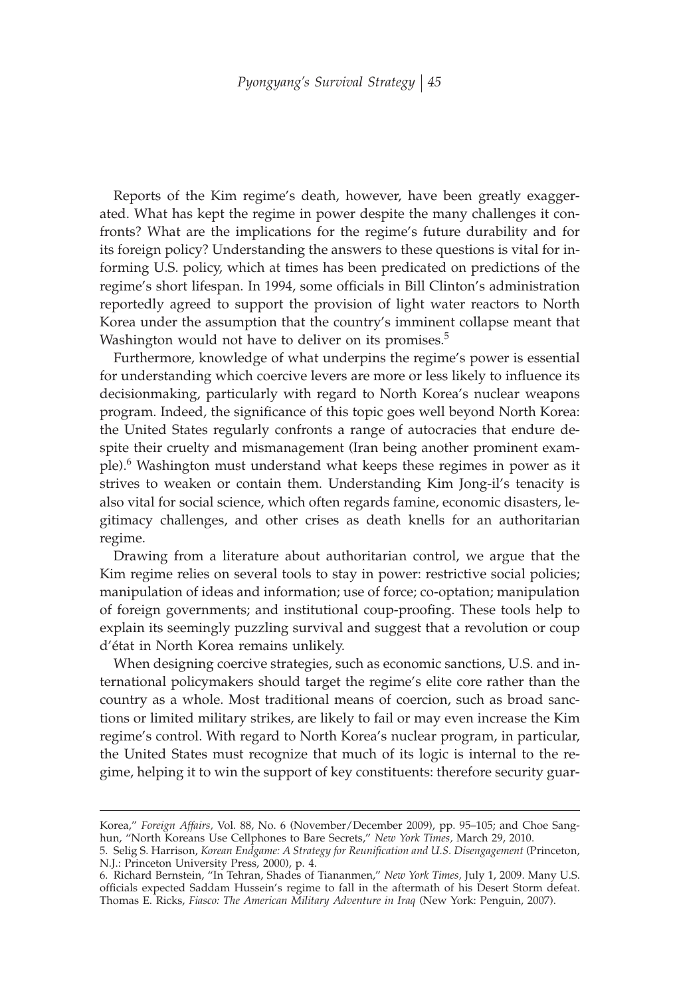Reports of the Kim regime's death, however, have been greatly exaggerated. What has kept the regime in power despite the many challenges it confronts? What are the implications for the regime's future durability and for its foreign policy? Understanding the answers to these questions is vital for informing U.S. policy, which at times has been predicated on predictions of the regime's short lifespan. In 1994, some officials in Bill Clinton's administration reportedly agreed to support the provision of light water reactors to North Korea under the assumption that the country's imminent collapse meant that Washington would not have to deliver on its promises.<sup>5</sup>

Furthermore, knowledge of what underpins the regime's power is essential for understanding which coercive levers are more or less likely to influence its decisionmaking, particularly with regard to North Korea's nuclear weapons program. Indeed, the significance of this topic goes well beyond North Korea: the United States regularly confronts a range of autocracies that endure despite their cruelty and mismanagement (Iran being another prominent example).<sup>6</sup> Washington must understand what keeps these regimes in power as it strives to weaken or contain them. Understanding Kim Jong-il's tenacity is also vital for social science, which often regards famine, economic disasters, legitimacy challenges, and other crises as death knells for an authoritarian regime.

Drawing from a literature about authoritarian control, we argue that the Kim regime relies on several tools to stay in power: restrictive social policies; manipulation of ideas and information; use of force; co-optation; manipulation of foreign governments; and institutional coup-proofing. These tools help to explain its seemingly puzzling survival and suggest that a revolution or coup d'état in North Korea remains unlikely.

When designing coercive strategies, such as economic sanctions, U.S. and international policymakers should target the regime's elite core rather than the country as a whole. Most traditional means of coercion, such as broad sanctions or limited military strikes, are likely to fail or may even increase the Kim regime's control. With regard to North Korea's nuclear program, in particular, the United States must recognize that much of its logic is internal to the regime, helping it to win the support of key constituents: therefore security guar-

Korea," *Foreign Affairs,* Vol. 88, No. 6 (November/December 2009), pp. 95–105; and Choe Sanghun, "North Koreans Use Cellphones to Bare Secrets," *New York Times,* March 29, 2010.

<sup>5.</sup> Selig S. Harrison, *Korean Endgame: A Strategy for Reunification and U.S. Disengagement* (Princeton, N.J.: Princeton University Press, 2000), p. 4.

<sup>6.</sup> Richard Bernstein, "In Tehran, Shades of Tiananmen," *New York Times,* July 1, 2009. Many U.S. officials expected Saddam Hussein's regime to fall in the aftermath of his Desert Storm defeat. Thomas E. Ricks, *Fiasco: The American Military Adventure in Iraq* (New York: Penguin, 2007).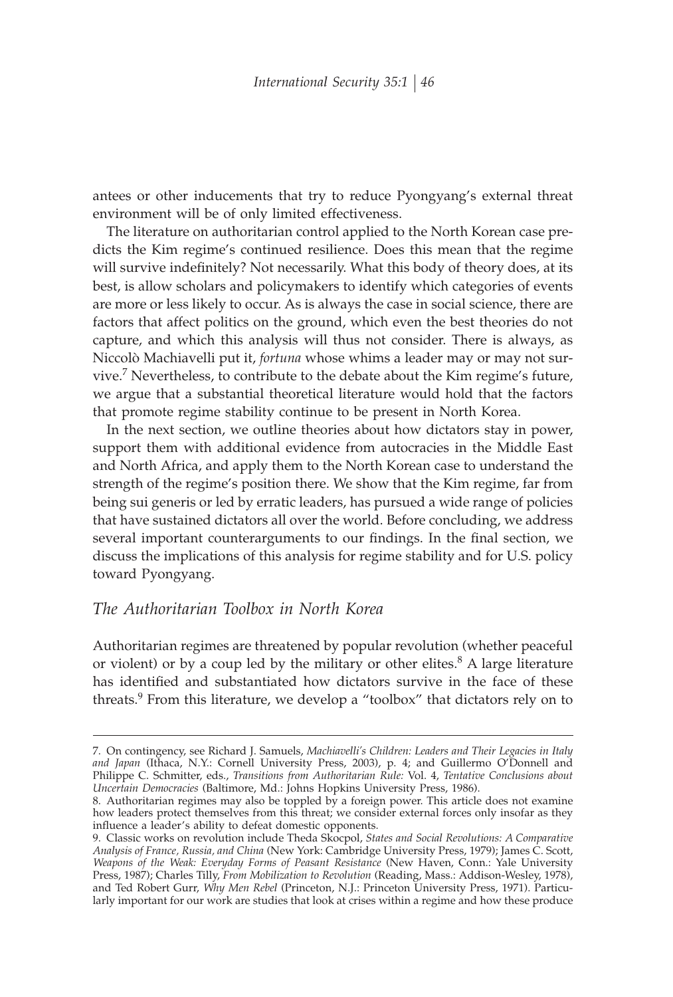antees or other inducements that try to reduce Pyongyang's external threat environment will be of only limited effectiveness.

The literature on authoritarian control applied to the North Korean case predicts the Kim regime's continued resilience. Does this mean that the regime will survive indefinitely? Not necessarily. What this body of theory does, at its best, is allow scholars and policymakers to identify which categories of events are more or less likely to occur. As is always the case in social science, there are factors that affect politics on the ground, which even the best theories do not capture, and which this analysis will thus not consider. There is always, as Niccolò Machiavelli put it, *fortuna* whose whims a leader may or may not survive.<sup>7</sup> Nevertheless, to contribute to the debate about the Kim regime's future, we argue that a substantial theoretical literature would hold that the factors that promote regime stability continue to be present in North Korea.

In the next section, we outline theories about how dictators stay in power, support them with additional evidence from autocracies in the Middle East and North Africa, and apply them to the North Korean case to understand the strength of the regime's position there. We show that the Kim regime, far from being sui generis or led by erratic leaders, has pursued a wide range of policies that have sustained dictators all over the world. Before concluding, we address several important counterarguments to our findings. In the final section, we discuss the implications of this analysis for regime stability and for U.S. policy toward Pyongyang.

## *The Authoritarian Toolbox in North Korea*

Authoritarian regimes are threatened by popular revolution (whether peaceful or violent) or by a coup led by the military or other elites. $8$  A large literature has identified and substantiated how dictators survive in the face of these threats.<sup>9</sup> From this literature, we develop a "toolbox" that dictators rely on to

<sup>7.</sup> On contingency, see Richard J. Samuels, *Machiavelli's Children: Leaders and Their Legacies in Italy and Japan* (Ithaca, N.Y.: Cornell University Press, 2003), p. 4; and Guillermo O'Donnell and Philippe C. Schmitter, eds., *Transitions from Authoritarian Rule:* Vol. 4, *Tentative Conclusions about Uncertain Democracies* (Baltimore, Md.: Johns Hopkins University Press, 1986).

<sup>8.</sup> Authoritarian regimes may also be toppled by a foreign power. This article does not examine how leaders protect themselves from this threat; we consider external forces only insofar as they influence a leader's ability to defeat domestic opponents.

<sup>9.</sup> Classic works on revolution include Theda Skocpol, *States and Social Revolutions: A Comparative Analysis of France, Russia, and China* (New York: Cambridge University Press, 1979); James C. Scott, *Weapons of the Weak: Everyday Forms of Peasant Resistance* (New Haven, Conn.: Yale University Press, 1987); Charles Tilly, *From Mobilization to Revolution* (Reading, Mass.: Addison-Wesley, 1978), and Ted Robert Gurr, *Why Men Rebel* (Princeton, N.J.: Princeton University Press, 1971). Particularly important for our work are studies that look at crises within a regime and how these produce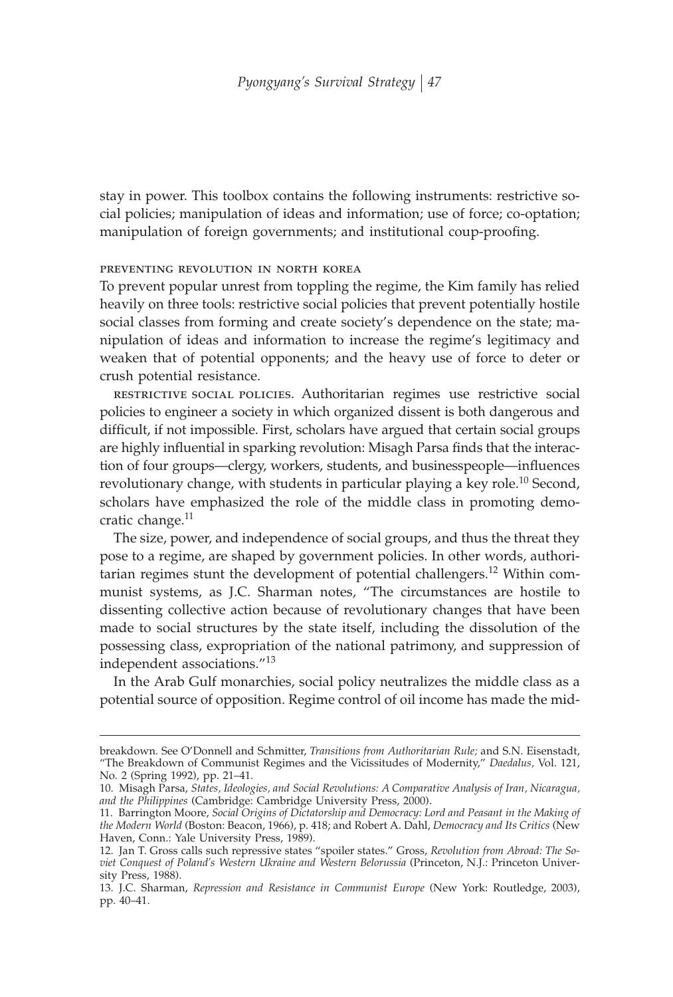stay in power. This toolbox contains the following instruments: restrictive social policies; manipulation of ideas and information; use of force; co-optation; manipulation of foreign governments; and institutional coup-proofing.

## preventing revolution in north korea

To prevent popular unrest from toppling the regime, the Kim family has relied heavily on three tools: restrictive social policies that prevent potentially hostile social classes from forming and create society's dependence on the state; manipulation of ideas and information to increase the regime's legitimacy and weaken that of potential opponents; and the heavy use of force to deter or crush potential resistance.

restrictive social policies. Authoritarian regimes use restrictive social policies to engineer a society in which organized dissent is both dangerous and difficult, if not impossible. First, scholars have argued that certain social groups are highly influential in sparking revolution: Misagh Parsa finds that the interaction of four groups—clergy, workers, students, and businesspeople—influences revolutionary change, with students in particular playing a key role.<sup>10</sup> Second, scholars have emphasized the role of the middle class in promoting democratic change. $^{11}$ 

The size, power, and independence of social groups, and thus the threat they pose to a regime, are shaped by government policies. In other words, authoritarian regimes stunt the development of potential challengers.<sup>12</sup> Within communist systems, as J.C. Sharman notes, "The circumstances are hostile to dissenting collective action because of revolutionary changes that have been made to social structures by the state itself, including the dissolution of the possessing class, expropriation of the national patrimony, and suppression of independent associations."<sup>13</sup>

In the Arab Gulf monarchies, social policy neutralizes the middle class as a potential source of opposition. Regime control of oil income has made the mid-

breakdown. See O'Donnell and Schmitter, *Transitions from Authoritarian Rule;* and S.N. Eisenstadt, "The Breakdown of Communist Regimes and the Vicissitudes of Modernity," *Daedalus,* Vol. 121, No. 2 (Spring 1992), pp. 21–41.

<sup>10.</sup> Misagh Parsa, *States, Ideologies, and Social Revolutions: A Comparative Analysis of Iran, Nicaragua, and the Philippines* (Cambridge: Cambridge University Press, 2000).

<sup>11.</sup> Barrington Moore, *Social Origins of Dictatorship and Democracy: Lord and Peasant in the Making of the Modern World* (Boston: Beacon, 1966), p. 418; and Robert A. Dahl, *Democracy and Its Critics* (New Haven, Conn.: Yale University Press, 1989).

<sup>12.</sup> Jan T. Gross calls such repressive states "spoiler states." Gross, *Revolution from Abroad: The Soviet Conquest of Poland's Western Ukraine and Western Belorussia* (Princeton, N.J.: Princeton University Press, 1988).

<sup>13.</sup> J.C. Sharman, *Repression and Resistance in Communist Europe* (New York: Routledge, 2003), pp. 40–41.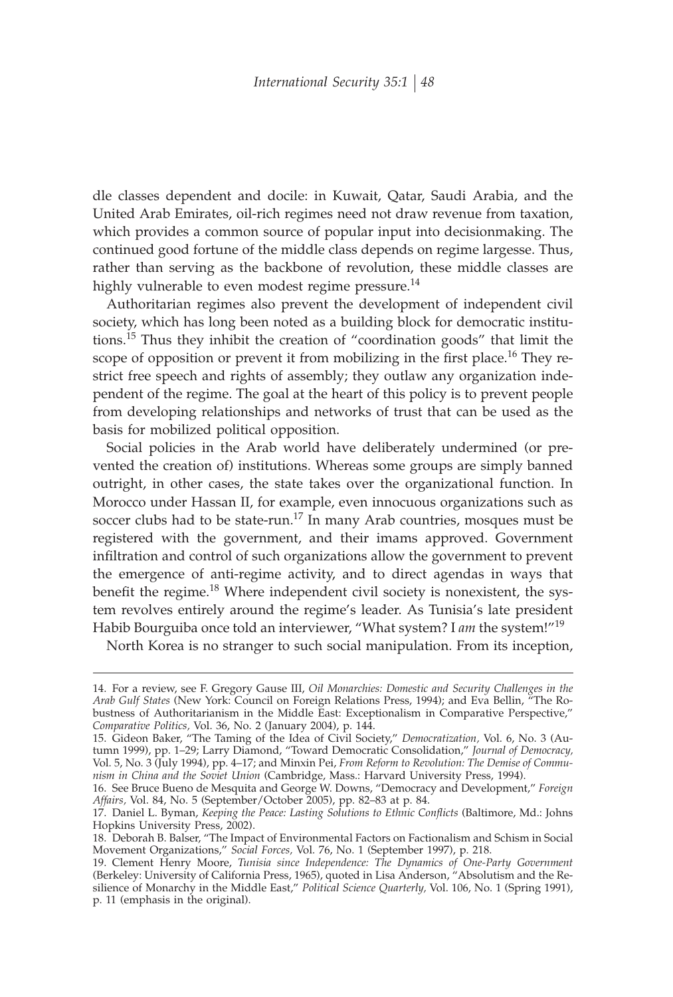dle classes dependent and docile: in Kuwait, Qatar, Saudi Arabia, and the United Arab Emirates, oil-rich regimes need not draw revenue from taxation, which provides a common source of popular input into decisionmaking. The continued good fortune of the middle class depends on regime largesse. Thus, rather than serving as the backbone of revolution, these middle classes are highly vulnerable to even modest regime pressure.<sup>14</sup>

Authoritarian regimes also prevent the development of independent civil society, which has long been noted as a building block for democratic institutions.<sup>15</sup> Thus they inhibit the creation of "coordination goods" that limit the scope of opposition or prevent it from mobilizing in the first place.<sup>16</sup> They restrict free speech and rights of assembly; they outlaw any organization independent of the regime. The goal at the heart of this policy is to prevent people from developing relationships and networks of trust that can be used as the basis for mobilized political opposition.

Social policies in the Arab world have deliberately undermined (or prevented the creation of) institutions. Whereas some groups are simply banned outright, in other cases, the state takes over the organizational function. In Morocco under Hassan II, for example, even innocuous organizations such as soccer clubs had to be state-run.<sup>17</sup> In many Arab countries, mosques must be registered with the government, and their imams approved. Government infiltration and control of such organizations allow the government to prevent the emergence of anti-regime activity, and to direct agendas in ways that benefit the regime.<sup>18</sup> Where independent civil society is nonexistent, the system revolves entirely around the regime's leader. As Tunisia's late president Habib Bourguiba once told an interviewer, "What system? I *am* the system!"<sup>19</sup>

North Korea is no stranger to such social manipulation. From its inception,

<sup>14.</sup> For a review, see F. Gregory Gause III, *Oil Monarchies: Domestic and Security Challenges in the Arab Gulf States* (New York: Council on Foreign Relations Press, 1994); and Eva Bellin, "The Robustness of Authoritarianism in the Middle East: Exceptionalism in Comparative Perspective," *Comparative Politics,* Vol. 36, No. 2 (January 2004), p. 144.

<sup>15.</sup> Gideon Baker, "The Taming of the Idea of Civil Society," *Democratization,* Vol. 6, No. 3 (Autumn 1999), pp. 1–29; Larry Diamond, "Toward Democratic Consolidation," *Journal of Democracy,* Vol. 5, No. 3 (July 1994), pp. 4–17; and Minxin Pei, *From Reform to Revolution: The Demise of Communism in China and the Soviet Union* (Cambridge, Mass.: Harvard University Press, 1994).

<sup>16.</sup> See Bruce Bueno de Mesquita and George W. Downs, "Democracy and Development," *Foreign Affairs,* Vol. 84, No. 5 (September/October 2005), pp. 82–83 at p. 84.

<sup>17.</sup> Daniel L. Byman*, Keeping the Peace: Lasting Solutions to Ethnic Conflicts* (Baltimore, Md.: Johns Hopkins University Press, 2002).

<sup>18.</sup> Deborah B. Balser, "The Impact of Environmental Factors on Factionalism and Schism in Social Movement Organizations," *Social Forces,* Vol. 76, No. 1 (September 1997), p. 218.

<sup>19.</sup> Clement Henry Moore, *Tunisia since Independence: The Dynamics of One-Party Government* (Berkeley: University of California Press, 1965), quoted in Lisa Anderson, "Absolutism and the Resilience of Monarchy in the Middle East," *Political Science Quarterly,* Vol. 106, No. 1 (Spring 1991), p. 11 (emphasis in the original).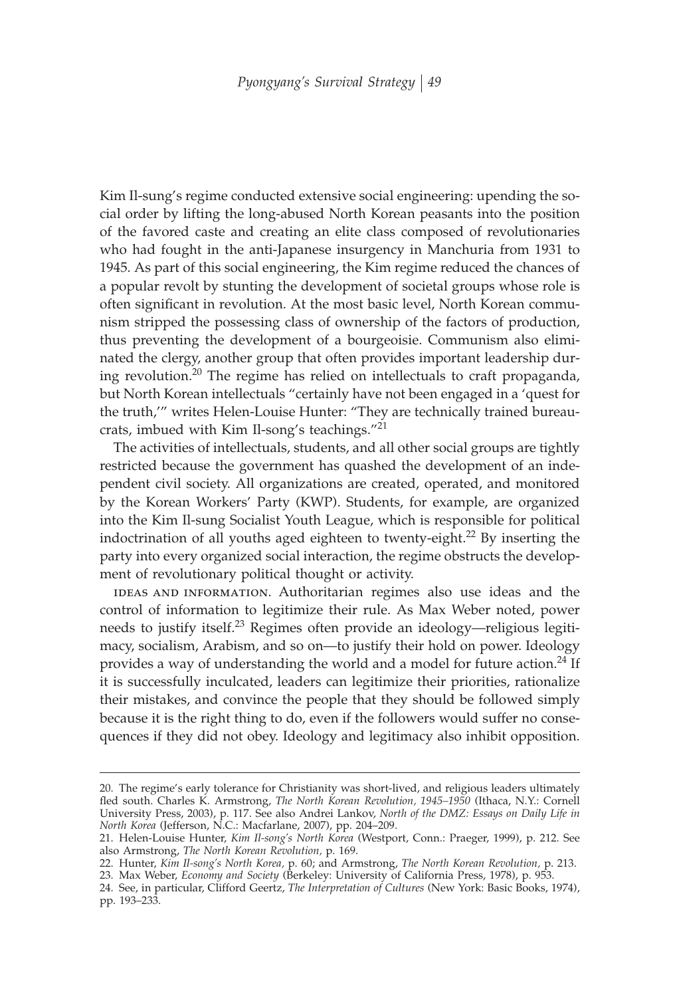Kim Il-sung's regime conducted extensive social engineering: upending the social order by lifting the long-abused North Korean peasants into the position of the favored caste and creating an elite class composed of revolutionaries who had fought in the anti-Japanese insurgency in Manchuria from 1931 to 1945. As part of this social engineering, the Kim regime reduced the chances of a popular revolt by stunting the development of societal groups whose role is often significant in revolution. At the most basic level, North Korean communism stripped the possessing class of ownership of the factors of production, thus preventing the development of a bourgeoisie. Communism also eliminated the clergy, another group that often provides important leadership during revolution.<sup>20</sup> The regime has relied on intellectuals to craft propaganda, but North Korean intellectuals "certainly have not been engaged in a 'quest for the truth,'" writes Helen-Louise Hunter: "They are technically trained bureaucrats, imbued with Kim Il-song's teachings."<sup>21</sup>

The activities of intellectuals, students, and all other social groups are tightly restricted because the government has quashed the development of an independent civil society. All organizations are created, operated, and monitored by the Korean Workers' Party (KWP). Students, for example, are organized into the Kim Il-sung Socialist Youth League, which is responsible for political indoctrination of all youths aged eighteen to twenty-eight.<sup>22</sup> By inserting the party into every organized social interaction, the regime obstructs the development of revolutionary political thought or activity.

ideas and information. Authoritarian regimes also use ideas and the control of information to legitimize their rule. As Max Weber noted, power needs to justify itself.<sup>23</sup> Regimes often provide an ideology—religious legitimacy, socialism, Arabism, and so on—to justify their hold on power. Ideology provides a way of understanding the world and a model for future action.<sup>24</sup> If it is successfully inculcated, leaders can legitimize their priorities, rationalize their mistakes, and convince the people that they should be followed simply because it is the right thing to do, even if the followers would suffer no consequences if they did not obey. Ideology and legitimacy also inhibit opposition.

<sup>20.</sup> The regime's early tolerance for Christianity was short-lived, and religious leaders ultimately fled south. Charles K. Armstrong, *The North Korean Revolution*, 1945–1950 (Ithaca, N.Y.: Cornell University Press, 2003), p. 117. See also Andrei Lankov, *North of the DMZ: Essays on Daily Life in North Korea* (Jefferson, N.C.: Macfarlane, 2007), pp. 204–209.

<sup>21.</sup> Helen-Louise Hunter, *Kim Il-song's North Korea* (Westport, Conn.: Praeger, 1999), p. 212. See also Armstrong, *The North Korean Revolution,* p. 169.

<sup>22.</sup> Hunter, *Kim Il-song's North Korea,* p. 60; and Armstrong, *The North Korean Revolution,* p. 213.

<sup>23.</sup> Max Weber, *Economy and Society* (Berkeley: University of California Press, 1978), p. 953.

<sup>24.</sup> See, in particular, Clifford Geertz, *The Interpretation of Cultures* (New York: Basic Books, 1974), pp. 193–233.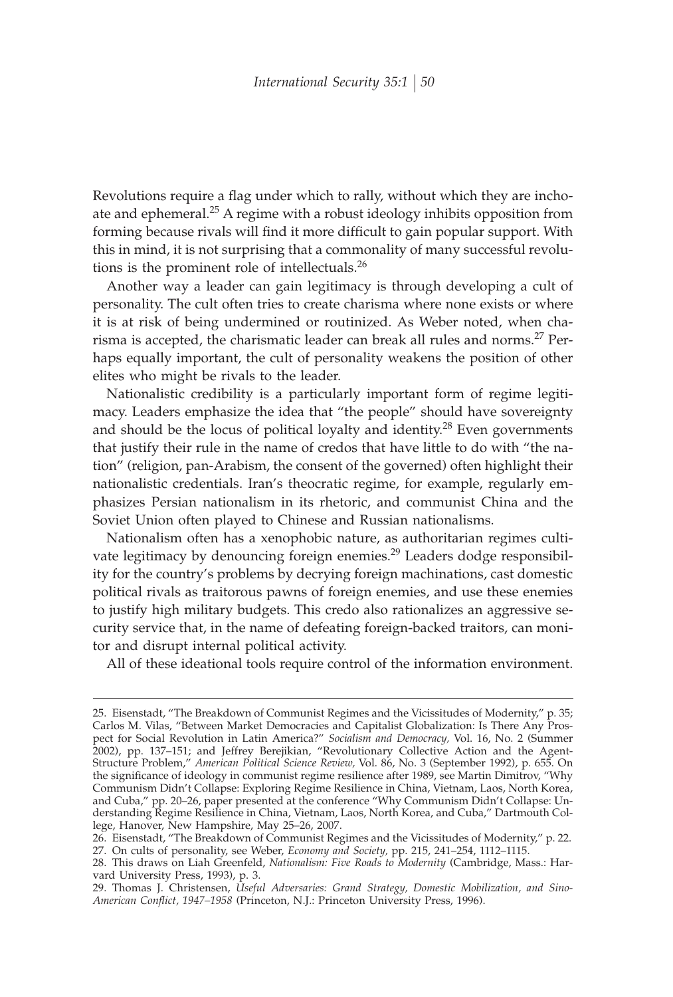Revolutions require a flag under which to rally, without which they are inchoate and ephemeral.<sup>25</sup> A regime with a robust ideology inhibits opposition from forming because rivals will find it more difficult to gain popular support. With this in mind, it is not surprising that a commonality of many successful revolutions is the prominent role of intellectuals.<sup>26</sup>

Another way a leader can gain legitimacy is through developing a cult of personality. The cult often tries to create charisma where none exists or where it is at risk of being undermined or routinized. As Weber noted, when charisma is accepted, the charismatic leader can break all rules and norms.<sup>27</sup> Perhaps equally important, the cult of personality weakens the position of other elites who might be rivals to the leader.

Nationalistic credibility is a particularly important form of regime legitimacy. Leaders emphasize the idea that "the people" should have sovereignty and should be the locus of political loyalty and identity.<sup>28</sup> Even governments that justify their rule in the name of credos that have little to do with "the nation" (religion, pan-Arabism, the consent of the governed) often highlight their nationalistic credentials. Iran's theocratic regime, for example, regularly emphasizes Persian nationalism in its rhetoric, and communist China and the Soviet Union often played to Chinese and Russian nationalisms.

Nationalism often has a xenophobic nature, as authoritarian regimes cultivate legitimacy by denouncing foreign enemies.<sup>29</sup> Leaders dodge responsibility for the country's problems by decrying foreign machinations, cast domestic political rivals as traitorous pawns of foreign enemies, and use these enemies to justify high military budgets. This credo also rationalizes an aggressive security service that, in the name of defeating foreign-backed traitors, can monitor and disrupt internal political activity.

All of these ideational tools require control of the information environment.

<sup>25.</sup> Eisenstadt, "The Breakdown of Communist Regimes and the Vicissitudes of Modernity," p. 35; Carlos M. Vilas, "Between Market Democracies and Capitalist Globalization: Is There Any Prospect for Social Revolution in Latin America?" *Socialism and Democracy,* Vol. 16, No. 2 (Summer 2002), pp. 137–151; and Jeffrey Berejikian, "Revolutionary Collective Action and the Agent-Structure Problem," *American Political Science Review,* Vol. 86, No. 3 (September 1992), p. 655. On the significance of ideology in communist regime resilience after 1989, see Martin Dimitrov, "Why Communism Didn't Collapse: Exploring Regime Resilience in China, Vietnam, Laos, North Korea, and Cuba," pp. 20–26, paper presented at the conference "Why Communism Didn't Collapse: Understanding Regime Resilience in China, Vietnam, Laos, North Korea, and Cuba," Dartmouth College, Hanover, New Hampshire, May 25–26, 2007.

<sup>26.</sup> Eisenstadt, "The Breakdown of Communist Regimes and the Vicissitudes of Modernity," p. 22. 27. On cults of personality, see Weber, *Economy and Society,* pp. 215, 241–254, 1112–1115.

<sup>28.</sup> This draws on Liah Greenfeld, *Nationalism: Five Roads to Modernity* (Cambridge, Mass.: Harvard University Press, 1993), p. 3.

<sup>29.</sup> Thomas J. Christensen, *Useful Adversaries: Grand Strategy, Domestic Mobilization, and Sino-American Conflict, 1947–1958* (Princeton, N.J.: Princeton University Press, 1996).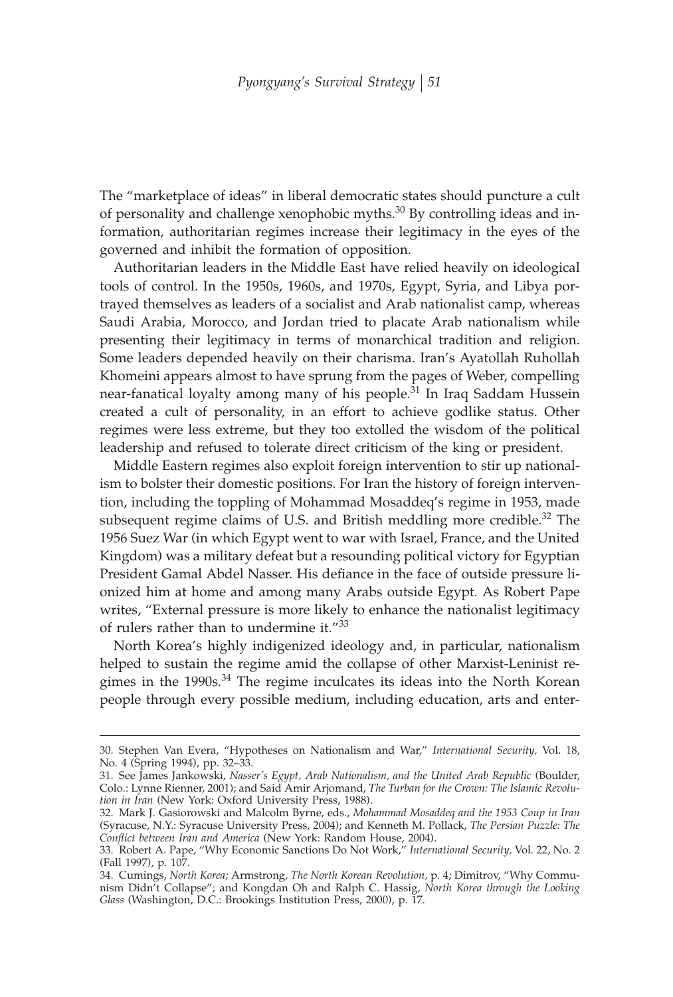The "marketplace of ideas" in liberal democratic states should puncture a cult of personality and challenge xenophobic myths. $30$  By controlling ideas and information, authoritarian regimes increase their legitimacy in the eyes of the governed and inhibit the formation of opposition.

Authoritarian leaders in the Middle East have relied heavily on ideological tools of control. In the 1950s, 1960s, and 1970s, Egypt, Syria, and Libya portrayed themselves as leaders of a socialist and Arab nationalist camp, whereas Saudi Arabia, Morocco, and Jordan tried to placate Arab nationalism while presenting their legitimacy in terms of monarchical tradition and religion. Some leaders depended heavily on their charisma. Iran's Ayatollah Ruhollah Khomeini appears almost to have sprung from the pages of Weber, compelling near-fanatical loyalty among many of his people.<sup>31</sup> In Iraq Saddam Hussein created a cult of personality, in an effort to achieve godlike status. Other regimes were less extreme, but they too extolled the wisdom of the political leadership and refused to tolerate direct criticism of the king or president.

Middle Eastern regimes also exploit foreign intervention to stir up nationalism to bolster their domestic positions. For Iran the history of foreign intervention, including the toppling of Mohammad Mosaddeq's regime in 1953, made subsequent regime claims of U.S. and British meddling more credible.<sup>32</sup> The 1956 Suez War (in which Egypt went to war with Israel, France, and the United Kingdom) was a military defeat but a resounding political victory for Egyptian President Gamal Abdel Nasser. His defiance in the face of outside pressure lionized him at home and among many Arabs outside Egypt. As Robert Pape writes, "External pressure is more likely to enhance the nationalist legitimacy of rulers rather than to undermine it."<sup>33</sup>

North Korea's highly indigenized ideology and, in particular, nationalism helped to sustain the regime amid the collapse of other Marxist-Leninist regimes in the  $1990s<sup>34</sup>$  The regime inculcates its ideas into the North Korean people through every possible medium, including education, arts and enter-

<sup>30.</sup> Stephen Van Evera, "Hypotheses on Nationalism and War," *International Security,* Vol. 18, No. 4 (Spring 1994), pp. 32–33.

<sup>31.</sup> See James Jankowski, *Nasser's Egypt, Arab Nationalism, and the United Arab Republic* (Boulder, Colo.: Lynne Rienner, 2001); and Said Amir Arjomand, *The Turban for the Crown: The Islamic Revolution in Iran* (New York: Oxford University Press, 1988).

<sup>32.</sup> Mark J. Gasiorowski and Malcolm Byrne, eds., *Mohammad Mosaddeq and the 1953 Coup in Iran* (Syracuse, N.Y.: Syracuse University Press, 2004); and Kenneth M. Pollack, *The Persian Puzzle: The Conºict between Iran and America* (New York: Random House, 2004).

<sup>33.</sup> Robert A. Pape, "Why Economic Sanctions Do Not Work," *International Security,* Vol. 22, No. 2 (Fall 1997), p. 107.

<sup>34.</sup> Cumings, *North Korea;* Armstrong, *The North Korean Revolution,* p. 4; Dimitrov, "Why Communism Didn't Collapse"; and Kongdan Oh and Ralph C. Hassig, *North Korea through the Looking Glass* (Washington, D.C.: Brookings Institution Press, 2000), p. 17.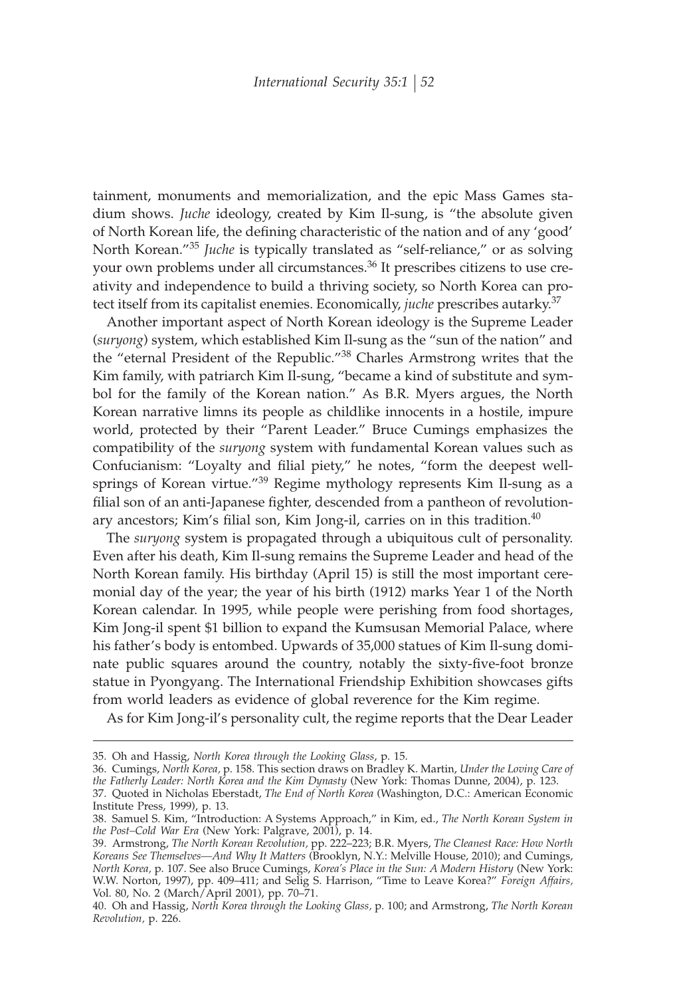tainment, monuments and memorialization, and the epic Mass Games stadium shows. *Juche* ideology, created by Kim Il-sung, is "the absolute given of North Korean life, the defining characteristic of the nation and of any 'good' North Korean."<sup>35</sup> *Juche* is typically translated as "self-reliance," or as solving your own problems under all circumstances.<sup>36</sup> It prescribes citizens to use creativity and independence to build a thriving society, so North Korea can protect itself from its capitalist enemies. Economically, *juche* prescribes autarky.<sup>37</sup>

Another important aspect of North Korean ideology is the Supreme Leader (*suryong*) system, which established Kim Il-sung as the "sun of the nation" and the "eternal President of the Republic."<sup>38</sup> Charles Armstrong writes that the Kim family, with patriarch Kim Il-sung, "became a kind of substitute and symbol for the family of the Korean nation." As B.R. Myers argues, the North Korean narrative limns its people as childlike innocents in a hostile, impure world, protected by their "Parent Leader." Bruce Cumings emphasizes the compatibility of the *suryong* system with fundamental Korean values such as Confucianism: "Loyalty and filial piety," he notes, "form the deepest wellsprings of Korean virtue.<sup>"39</sup> Regime mythology represents Kim Il-sung as a filial son of an anti-Japanese fighter, descended from a pantheon of revolutionary ancestors; Kim's filial son, Kim Jong-il, carries on in this tradition. $40$ 

The *suryong* system is propagated through a ubiquitous cult of personality. Even after his death, Kim Il-sung remains the Supreme Leader and head of the North Korean family. His birthday (April 15) is still the most important ceremonial day of the year; the year of his birth (1912) marks Year 1 of the North Korean calendar. In 1995, while people were perishing from food shortages, Kim Jong-il spent \$1 billion to expand the Kumsusan Memorial Palace, where his father's body is entombed. Upwards of 35,000 statues of Kim Il-sung dominate public squares around the country, notably the sixty-five-foot bronze statue in Pyongyang. The International Friendship Exhibition showcases gifts from world leaders as evidence of global reverence for the Kim regime.

As for Kim Jong-il's personality cult, the regime reports that the Dear Leader

<sup>35.</sup> Oh and Hassig, *North Korea through the Looking Glass*, p. 15.

<sup>36.</sup> Cumings, *North Korea,* p. 158. This section draws on Bradley K. Martin, *Under the Loving Care of the Fatherly Leader: North Korea and the Kim Dynasty* (New York: Thomas Dunne, 2004), p. 123.

<sup>37.</sup> Quoted in Nicholas Eberstadt, *The End of North Korea* (Washington, D.C.: American Economic Institute Press, 1999), p. 13.

<sup>38.</sup> Samuel S. Kim, "Introduction: A Systems Approach," in Kim, ed., *The North Korean System in the Post–Cold War Era* (New York: Palgrave, 2001), p. 14.

<sup>39.</sup> Armstrong, *The North Korean Revolution,* pp. 222–223; B.R. Myers, *The Cleanest Race: How North Koreans See Themselves—And Why It Matters* (Brooklyn, N.Y.: Melville House, 2010); and Cumings, *North Korea,* p. 107. See also Bruce Cumings, *Korea's Place in the Sun: A Modern History* (New York: W.W. Norton, 1997), pp. 409–411; and Selig S. Harrison, "Time to Leave Korea?" *Foreign Affairs,* Vol. 80, No. 2 (March/April 2001), pp. 70–71.

<sup>40.</sup> Oh and Hassig, *North Korea through the Looking Glass,* p. 100; and Armstrong, *The North Korean Revolution,* p. 226.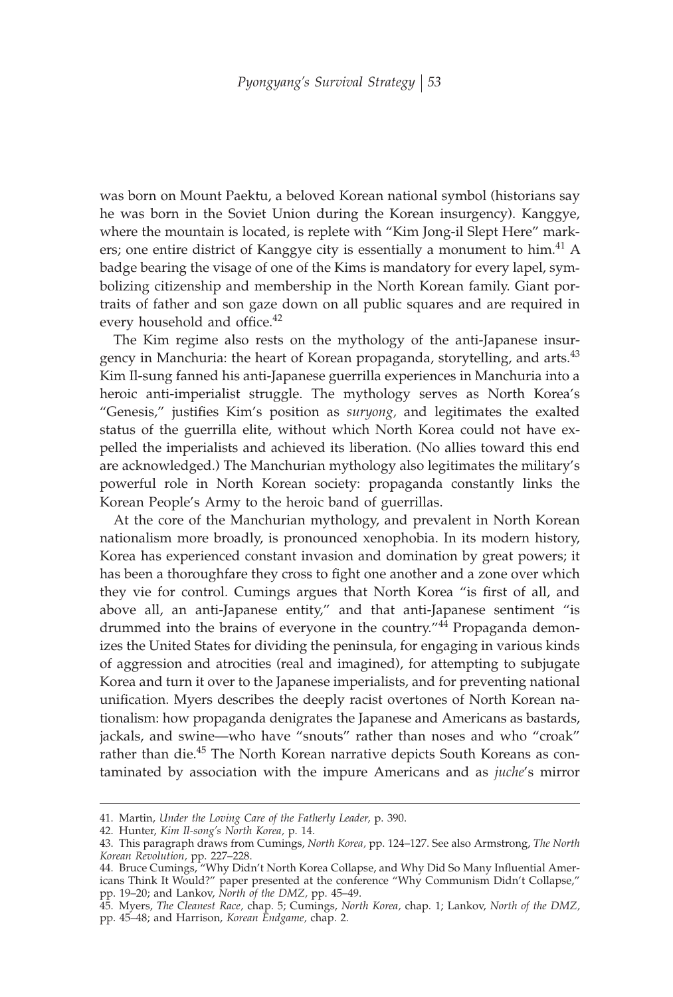was born on Mount Paektu, a beloved Korean national symbol (historians say he was born in the Soviet Union during the Korean insurgency). Kanggye, where the mountain is located, is replete with "Kim Jong-il Slept Here" markers; one entire district of Kanggye city is essentially a monument to him.<sup>41</sup> A badge bearing the visage of one of the Kims is mandatory for every lapel, symbolizing citizenship and membership in the North Korean family. Giant portraits of father and son gaze down on all public squares and are required in every household and office.<sup>42</sup>

The Kim regime also rests on the mythology of the anti-Japanese insurgency in Manchuria: the heart of Korean propaganda, storytelling, and arts.<sup>43</sup> Kim Il-sung fanned his anti-Japanese guerrilla experiences in Manchuria into a heroic anti-imperialist struggle. The mythology serves as North Korea's "Genesis," justifies Kim's position as *suryong*, and legitimates the exalted status of the guerrilla elite, without which North Korea could not have expelled the imperialists and achieved its liberation. (No allies toward this end are acknowledged.) The Manchurian mythology also legitimates the military's powerful role in North Korean society: propaganda constantly links the Korean People's Army to the heroic band of guerrillas.

At the core of the Manchurian mythology, and prevalent in North Korean nationalism more broadly, is pronounced xenophobia. In its modern history, Korea has experienced constant invasion and domination by great powers; it has been a thoroughfare they cross to fight one another and a zone over which they vie for control. Cumings argues that North Korea "is first of all, and above all, an anti-Japanese entity," and that anti-Japanese sentiment "is drummed into the brains of everyone in the country."<sup>44</sup> Propaganda demonizes the United States for dividing the peninsula, for engaging in various kinds of aggression and atrocities (real and imagined), for attempting to subjugate Korea and turn it over to the Japanese imperialists, and for preventing national unification. Myers describes the deeply racist overtones of North Korean nationalism: how propaganda denigrates the Japanese and Americans as bastards, jackals, and swine—who have "snouts" rather than noses and who "croak" rather than die.<sup>45</sup> The North Korean narrative depicts South Koreans as contaminated by association with the impure Americans and as *juche*'s mirror

<sup>41.</sup> Martin, *Under the Loving Care of the Fatherly Leader,* p. 390.

<sup>42.</sup> Hunter, *Kim Il-song's North Korea,* p. 14.

<sup>43.</sup> This paragraph draws from Cumings, *North Korea,* pp. 124–127. See also Armstrong, *The North Korean Revolution,* pp. 227–228.

<sup>44.</sup> Bruce Cumings, "Why Didn't North Korea Collapse, and Why Did So Many Influential Americans Think It Would?" paper presented at the conference "Why Communism Didn't Collapse," pp. 19–20; and Lankov, *North of the DMZ,* pp. 45–49.

<sup>45.</sup> Myers, *The Cleanest Race,* chap. 5; Cumings, *North Korea,* chap. 1; Lankov, *North of the DMZ,* pp. 45–48; and Harrison, *Korean Endgame,* chap. 2.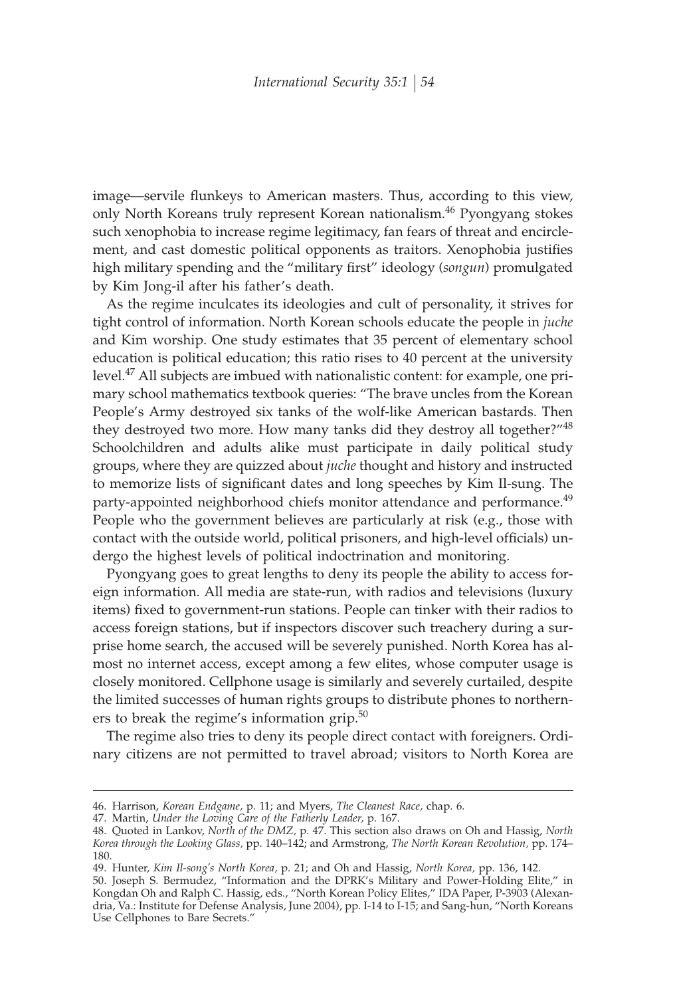image—servile flunkeys to American masters. Thus, according to this view, only North Koreans truly represent Korean nationalism.<sup>46</sup> Pyongyang stokes such xenophobia to increase regime legitimacy, fan fears of threat and encirclement, and cast domestic political opponents as traitors. Xenophobia justifies high military spending and the "military first" ideology (songun) promulgated by Kim Jong-il after his father's death.

As the regime inculcates its ideologies and cult of personality, it strives for tight control of information. North Korean schools educate the people in *juche* and Kim worship. One study estimates that 35 percent of elementary school education is political education; this ratio rises to 40 percent at the university level.<sup>47</sup> All subjects are imbued with nationalistic content: for example, one primary school mathematics textbook queries: "The brave uncles from the Korean People's Army destroyed six tanks of the wolf-like American bastards. Then they destroyed two more. How many tanks did they destroy all together?"<sup>48</sup> Schoolchildren and adults alike must participate in daily political study groups, where they are quizzed about *juche* thought and history and instructed to memorize lists of significant dates and long speeches by Kim Il-sung. The party-appointed neighborhood chiefs monitor attendance and performance.<sup>49</sup> People who the government believes are particularly at risk (e.g., those with contact with the outside world, political prisoners, and high-level officials) undergo the highest levels of political indoctrination and monitoring.

Pyongyang goes to great lengths to deny its people the ability to access foreign information. All media are state-run, with radios and televisions (luxury items) fixed to government-run stations. People can tinker with their radios to access foreign stations, but if inspectors discover such treachery during a surprise home search, the accused will be severely punished. North Korea has almost no internet access, except among a few elites, whose computer usage is closely monitored. Cellphone usage is similarly and severely curtailed, despite the limited successes of human rights groups to distribute phones to northerners to break the regime's information grip.<sup>50</sup>

The regime also tries to deny its people direct contact with foreigners. Ordinary citizens are not permitted to travel abroad; visitors to North Korea are

<sup>46.</sup> Harrison, *Korean Endgame,* p. 11; and Myers, *The Cleanest Race,* chap. 6.

<sup>47.</sup> Martin, *Under the Loving Care of the Fatherly Leader,* p. 167.

<sup>48.</sup> Quoted in Lankov, *North of the DMZ,* p. 47. This section also draws on Oh and Hassig, *North Korea through the Looking Glass,* pp. 140–142; and Armstrong, *The North Korean Revolution,* pp. 174– 180.

<sup>49.</sup> Hunter, *Kim Il-song's North Korea,* p. 21; and Oh and Hassig, *North Korea,* pp. 136, 142.

<sup>50.</sup> Joseph S. Bermudez, "Information and the DPRK's Military and Power-Holding Elite," in Kongdan Oh and Ralph C. Hassig, eds., "North Korean Policy Elites," IDA Paper, P-3903 (Alexandria, Va.: Institute for Defense Analysis, June 2004), pp. I-14 to I-15; and Sang-hun, "North Koreans Use Cellphones to Bare Secrets."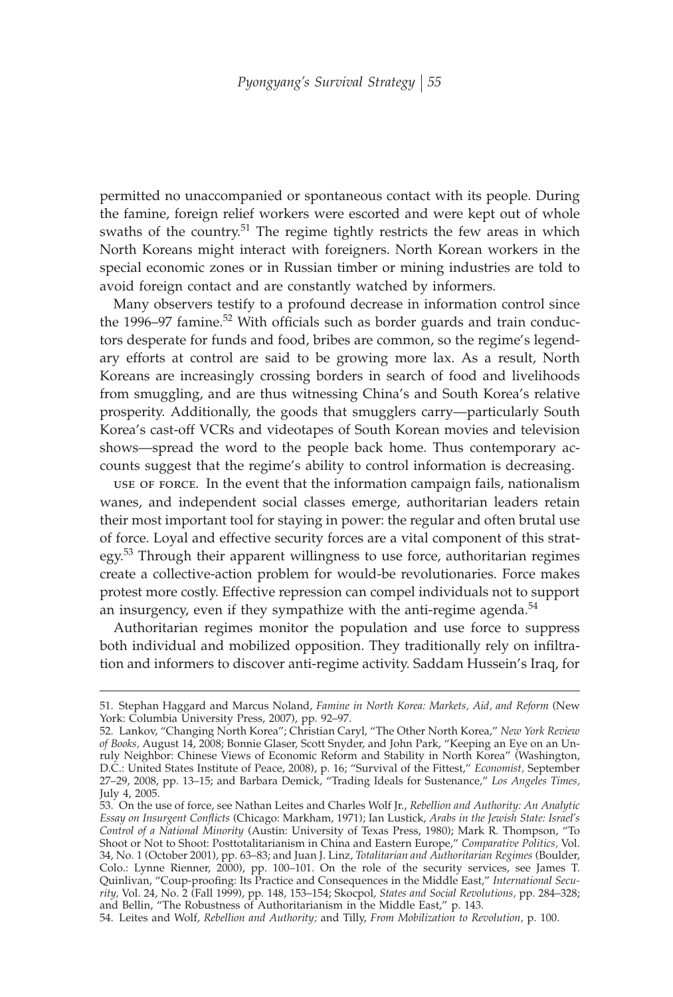permitted no unaccompanied or spontaneous contact with its people. During the famine, foreign relief workers were escorted and were kept out of whole swaths of the country.<sup>51</sup> The regime tightly restricts the few areas in which North Koreans might interact with foreigners. North Korean workers in the special economic zones or in Russian timber or mining industries are told to avoid foreign contact and are constantly watched by informers.

Many observers testify to a profound decrease in information control since the 1996–97 famine.<sup>52</sup> With officials such as border guards and train conductors desperate for funds and food, bribes are common, so the regime's legendary efforts at control are said to be growing more lax. As a result, North Koreans are increasingly crossing borders in search of food and livelihoods from smuggling, and are thus witnessing China's and South Korea's relative prosperity. Additionally, the goods that smugglers carry—particularly South Korea's cast-off VCRs and videotapes of South Korean movies and television shows—spread the word to the people back home. Thus contemporary accounts suggest that the regime's ability to control information is decreasing.

use of force. In the event that the information campaign fails, nationalism wanes, and independent social classes emerge, authoritarian leaders retain their most important tool for staying in power: the regular and often brutal use of force. Loyal and effective security forces are a vital component of this strategy.<sup>53</sup> Through their apparent willingness to use force, authoritarian regimes create a collective-action problem for would-be revolutionaries. Force makes protest more costly. Effective repression can compel individuals not to support an insurgency, even if they sympathize with the anti-regime agenda. $54$ 

Authoritarian regimes monitor the population and use force to suppress both individual and mobilized opposition. They traditionally rely on infiltration and informers to discover anti-regime activity. Saddam Hussein's Iraq, for

<sup>51.</sup> Stephan Haggard and Marcus Noland, *Famine in North Korea: Markets, Aid, and Reform* (New York: Columbia University Press, 2007), pp. 92–97.

<sup>52.</sup> Lankov, "Changing North Korea"; Christian Caryl, "The Other North Korea," *New York Review of Books,* August 14, 2008; Bonnie Glaser, Scott Snyder, and John Park, "Keeping an Eye on an Unruly Neighbor: Chinese Views of Economic Reform and Stability in North Korea" (Washington, D.C.: United States Institute of Peace, 2008), p. 16; "Survival of the Fittest," *Economist,* September 27–29, 2008, pp. 13–15; and Barbara Demick, "Trading Ideals for Sustenance," *Los Angeles Times,* July 4, 2005.

<sup>53.</sup> On the use of force, see Nathan Leites and Charles Wolf Jr., *Rebellion and Authority: An Analytic Essay on Insurgent Conºicts* (Chicago: Markham, 1971); Ian Lustick, *Arabs in the Jewish State: Israel's Control of a National Minority* (Austin: University of Texas Press, 1980); Mark R. Thompson, "To Shoot or Not to Shoot: Posttotalitarianism in China and Eastern Europe," *Comparative Politics,* Vol. 34, No. 1 (October 2001), pp. 63–83; and Juan J. Linz, *Totalitarian and Authoritarian Regimes* (Boulder, Colo.: Lynne Rienner, 2000), pp. 100–101. On the role of the security services, see James T. Quinlivan, "Coup-proofing: Its Practice and Consequences in the Middle East," International Secu*rity,* Vol. 24, No. 2 (Fall 1999), pp. 148, 153–154; Skocpol, *States and Social Revolutions,* pp. 284–328; and Bellin, "The Robustness of Authoritarianism in the Middle East," p. 143.

<sup>54.</sup> Leites and Wolf, *Rebellion and Authority;* and Tilly, *From Mobilization to Revolution,* p. 100.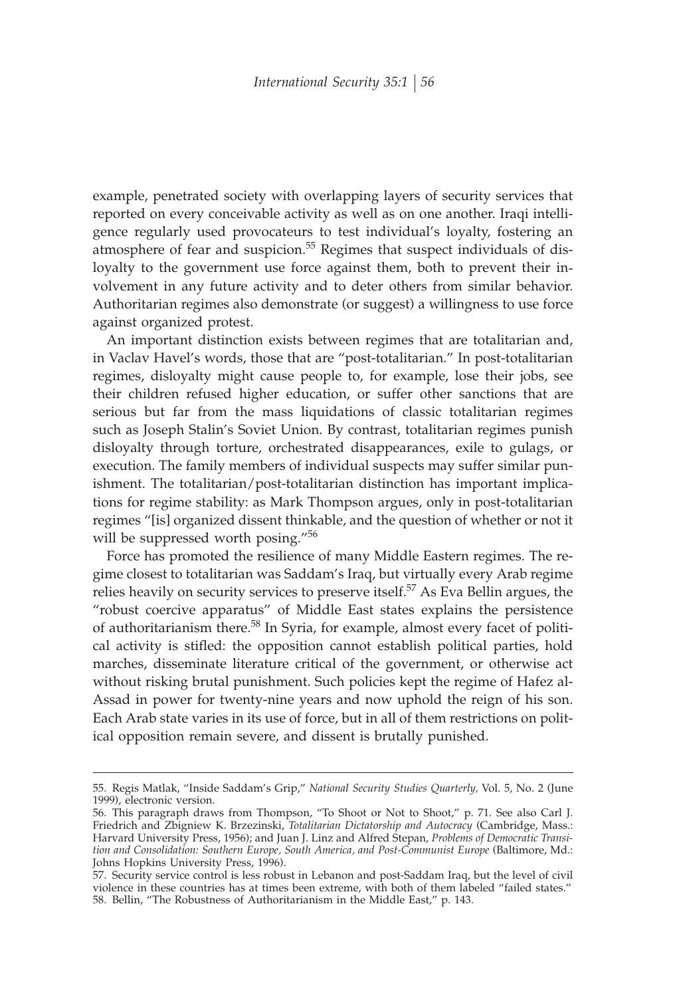example, penetrated society with overlapping layers of security services that reported on every conceivable activity as well as on one another. Iraqi intelligence regularly used provocateurs to test individual's loyalty, fostering an atmosphere of fear and suspicion.<sup>55</sup> Regimes that suspect individuals of disloyalty to the government use force against them, both to prevent their involvement in any future activity and to deter others from similar behavior. Authoritarian regimes also demonstrate (or suggest) a willingness to use force against organized protest.

An important distinction exists between regimes that are totalitarian and, in Vaclav Havel's words, those that are "post-totalitarian." In post-totalitarian regimes, disloyalty might cause people to, for example, lose their jobs, see their children refused higher education, or suffer other sanctions that are serious but far from the mass liquidations of classic totalitarian regimes such as Joseph Stalin's Soviet Union. By contrast, totalitarian regimes punish disloyalty through torture, orchestrated disappearances, exile to gulags, or execution. The family members of individual suspects may suffer similar punishment. The totalitarian/post-totalitarian distinction has important implications for regime stability: as Mark Thompson argues, only in post-totalitarian regimes "[is] organized dissent thinkable, and the question of whether or not it will be suppressed worth posing."<sup>56</sup>

Force has promoted the resilience of many Middle Eastern regimes. The regime closest to totalitarian was Saddam's Iraq, but virtually every Arab regime relies heavily on security services to preserve itself.<sup>57</sup> As Eva Bellin argues, the "robust coercive apparatus" of Middle East states explains the persistence of authoritarianism there.<sup>58</sup> In Syria, for example, almost every facet of political activity is stifled: the opposition cannot establish political parties, hold marches, disseminate literature critical of the government, or otherwise act without risking brutal punishment. Such policies kept the regime of Hafez al-Assad in power for twenty-nine years and now uphold the reign of his son. Each Arab state varies in its use of force, but in all of them restrictions on political opposition remain severe, and dissent is brutally punished.

<sup>55.</sup> Regis Matlak, "Inside Saddam's Grip," *National Security Studies Quarterly,* Vol. 5, No. 2 (June 1999), electronic version.

<sup>56.</sup> This paragraph draws from Thompson, "To Shoot or Not to Shoot," p. 71. See also Carl J. Friedrich and Zbigniew K. Brzezinski, *Totalitarian Dictatorship and Autocracy* (Cambridge, Mass.: Harvard University Press, 1956); and Juan J. Linz and Alfred Stepan, *Problems of Democratic Transition and Consolidation: Southern Europe, South America, and Post-Communist Europe* (Baltimore, Md.: Johns Hopkins University Press, 1996).

<sup>57.</sup> Security service control is less robust in Lebanon and post-Saddam Iraq, but the level of civil violence in these countries has at times been extreme, with both of them labeled "failed states." 58. Bellin, "The Robustness of Authoritarianism in the Middle East," p. 143.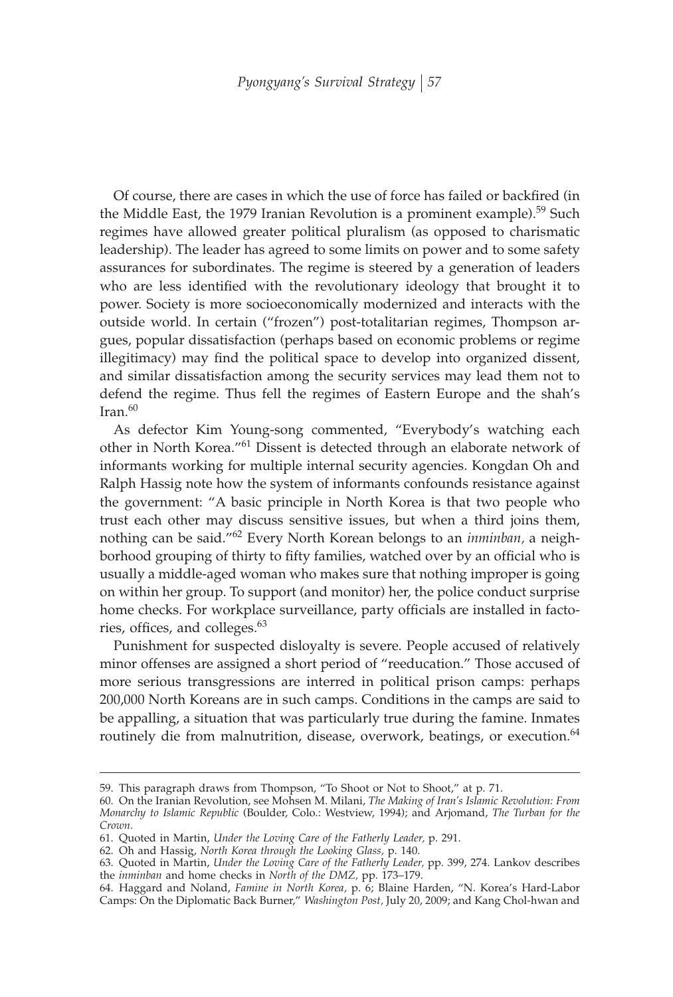Of course, there are cases in which the use of force has failed or backfired (in the Middle East, the 1979 Iranian Revolution is a prominent example).<sup>59</sup> Such regimes have allowed greater political pluralism (as opposed to charismatic leadership). The leader has agreed to some limits on power and to some safety assurances for subordinates. The regime is steered by a generation of leaders who are less identified with the revolutionary ideology that brought it to power. Society is more socioeconomically modernized and interacts with the outside world. In certain ("frozen") post-totalitarian regimes, Thompson argues, popular dissatisfaction (perhaps based on economic problems or regime illegitimacy) may find the political space to develop into organized dissent, and similar dissatisfaction among the security services may lead them not to defend the regime. Thus fell the regimes of Eastern Europe and the shah's Iran. $60$ 

As defector Kim Young-song commented, "Everybody's watching each other in North Korea."<sup>61</sup> Dissent is detected through an elaborate network of informants working for multiple internal security agencies. Kongdan Oh and Ralph Hassig note how the system of informants confounds resistance against the government: "A basic principle in North Korea is that two people who trust each other may discuss sensitive issues, but when a third joins them, nothing can be said."<sup>62</sup> Every North Korean belongs to an *inminban,* a neighborhood grouping of thirty to fifty families, watched over by an official who is usually a middle-aged woman who makes sure that nothing improper is going on within her group. To support (and monitor) her, the police conduct surprise home checks. For workplace surveillance, party officials are installed in factories, offices, and colleges.<sup>63</sup>

Punishment for suspected disloyalty is severe. People accused of relatively minor offenses are assigned a short period of "reeducation." Those accused of more serious transgressions are interred in political prison camps: perhaps 200,000 North Koreans are in such camps. Conditions in the camps are said to be appalling, a situation that was particularly true during the famine. Inmates routinely die from malnutrition, disease, overwork, beatings, or execution. $64$ 

<sup>59.</sup> This paragraph draws from Thompson, "To Shoot or Not to Shoot," at p. 71.

<sup>60.</sup> On the Iranian Revolution, see Mohsen M. Milani, *The Making of Iran's Islamic Revolution: From Monarchy to Islamic Republic* (Boulder, Colo.: Westview, 1994); and Arjomand, *The Turban for the Crown.*

<sup>61.</sup> Quoted in Martin, *Under the Loving Care of the Fatherly Leader,* p. 291.

<sup>62.</sup> Oh and Hassig, *North Korea through the Looking Glass,* p. 140.

<sup>63.</sup> Quoted in Martin, *Under the Loving Care of the Fatherly Leader,* pp. 399, 274. Lankov describes the *inminban* and home checks in *North of the DMZ,* pp. 173–179.

<sup>64.</sup> Haggard and Noland, *Famine in North Korea,* p. 6; Blaine Harden, "N. Korea's Hard-Labor Camps: On the Diplomatic Back Burner," *Washington Post,* July 20, 2009; and Kang Chol-hwan and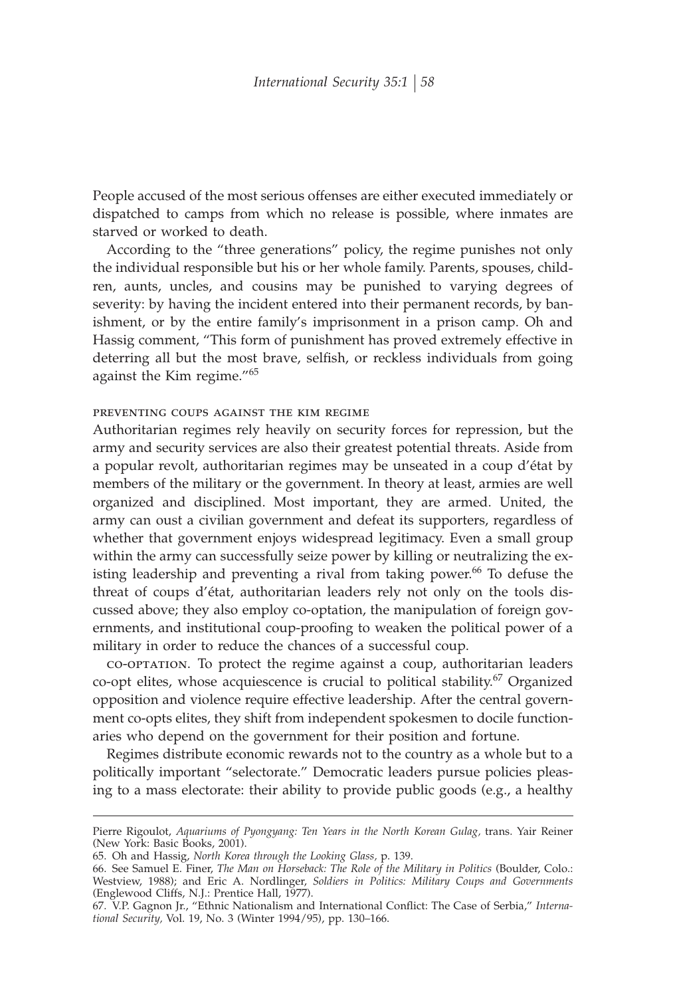People accused of the most serious offenses are either executed immediately or dispatched to camps from which no release is possible, where inmates are starved or worked to death.

According to the "three generations" policy, the regime punishes not only the individual responsible but his or her whole family. Parents, spouses, children, aunts, uncles, and cousins may be punished to varying degrees of severity: by having the incident entered into their permanent records, by banishment, or by the entire family's imprisonment in a prison camp. Oh and Hassig comment, "This form of punishment has proved extremely effective in deterring all but the most brave, selfish, or reckless individuals from going against the Kim regime."<sup>65</sup>

#### preventing coups against the kim regime

Authoritarian regimes rely heavily on security forces for repression, but the army and security services are also their greatest potential threats. Aside from a popular revolt, authoritarian regimes may be unseated in a coup d'état by members of the military or the government. In theory at least, armies are well organized and disciplined. Most important, they are armed. United, the army can oust a civilian government and defeat its supporters, regardless of whether that government enjoys widespread legitimacy. Even a small group within the army can successfully seize power by killing or neutralizing the existing leadership and preventing a rival from taking power.<sup>66</sup> To defuse the threat of coups d'état, authoritarian leaders rely not only on the tools discussed above; they also employ co-optation, the manipulation of foreign governments, and institutional coup-proofing to weaken the political power of a military in order to reduce the chances of a successful coup.

co-optation. To protect the regime against a coup, authoritarian leaders co-opt elites, whose acquiescence is crucial to political stability.<sup>67</sup> Organized opposition and violence require effective leadership. After the central government co-opts elites, they shift from independent spokesmen to docile functionaries who depend on the government for their position and fortune.

Regimes distribute economic rewards not to the country as a whole but to a politically important "selectorate." Democratic leaders pursue policies pleasing to a mass electorate: their ability to provide public goods (e.g., a healthy

Pierre Rigoulot, *Aquariums of Pyongyang: Ten Years in the North Korean Gulag,* trans. Yair Reiner (New York: Basic Books, 2001).

<sup>65.</sup> Oh and Hassig, *North Korea through the Looking Glass,* p. 139.

<sup>66.</sup> See Samuel E. Finer, *The Man on Horseback: The Role of the Military in Politics* (Boulder, Colo.: Westview, 1988); and Eric A. Nordlinger, *Soldiers in Politics: Military Coups and Governments* (Englewood Cliffs, N.J.: Prentice Hall, 1977).

<sup>67.</sup> V.P. Gagnon Jr., "Ethnic Nationalism and International Conflict: The Case of Serbia," *International Security,* Vol. 19, No. 3 (Winter 1994/95), pp. 130–166.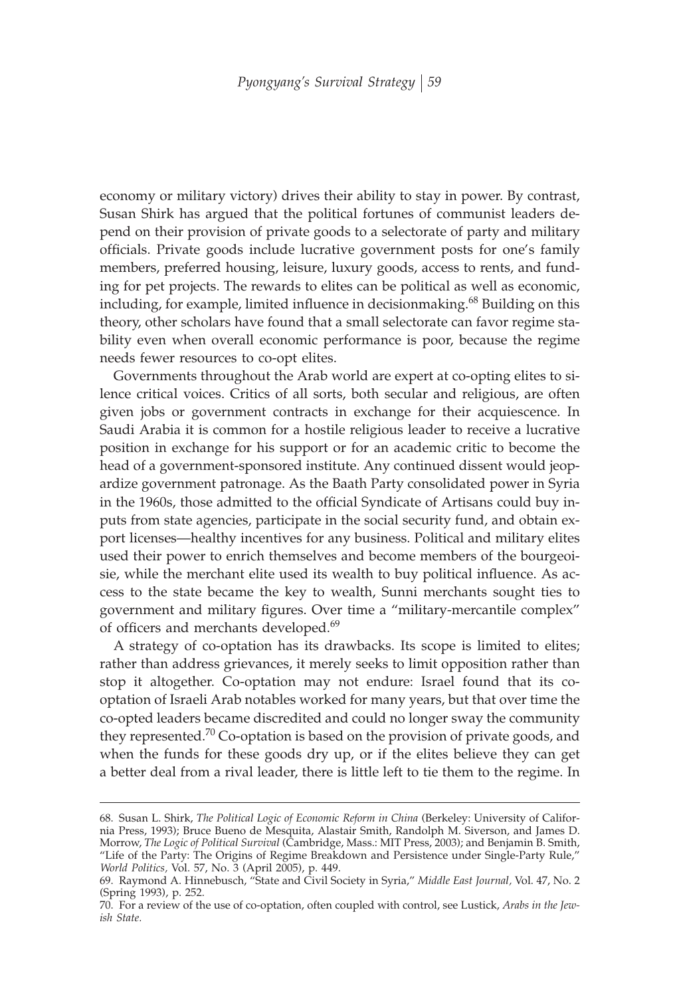economy or military victory) drives their ability to stay in power. By contrast, Susan Shirk has argued that the political fortunes of communist leaders depend on their provision of private goods to a selectorate of party and military officials. Private goods include lucrative government posts for one's family members, preferred housing, leisure, luxury goods, access to rents, and funding for pet projects. The rewards to elites can be political as well as economic, including, for example, limited influence in decisionmaking. $68$  Building on this theory, other scholars have found that a small selectorate can favor regime stability even when overall economic performance is poor, because the regime needs fewer resources to co-opt elites.

Governments throughout the Arab world are expert at co-opting elites to silence critical voices. Critics of all sorts, both secular and religious, are often given jobs or government contracts in exchange for their acquiescence. In Saudi Arabia it is common for a hostile religious leader to receive a lucrative position in exchange for his support or for an academic critic to become the head of a government-sponsored institute. Any continued dissent would jeopardize government patronage. As the Baath Party consolidated power in Syria in the 1960s, those admitted to the official Syndicate of Artisans could buy inputs from state agencies, participate in the social security fund, and obtain export licenses—healthy incentives for any business. Political and military elites used their power to enrich themselves and become members of the bourgeoisie, while the merchant elite used its wealth to buy political influence. As access to the state became the key to wealth, Sunni merchants sought ties to government and military figures. Over time a "military-mercantile complex" of officers and merchants developed.<sup>69</sup>

A strategy of co-optation has its drawbacks. Its scope is limited to elites; rather than address grievances, it merely seeks to limit opposition rather than stop it altogether. Co-optation may not endure: Israel found that its cooptation of Israeli Arab notables worked for many years, but that over time the co-opted leaders became discredited and could no longer sway the community they represented.<sup>70</sup> Co-optation is based on the provision of private goods, and when the funds for these goods dry up, or if the elites believe they can get a better deal from a rival leader, there is little left to tie them to the regime. In

<sup>68.</sup> Susan L. Shirk, *The Political Logic of Economic Reform in China* (Berkeley: University of California Press, 1993); Bruce Bueno de Mesquita, Alastair Smith, Randolph M. Siverson, and James D. Morrow, *The Logic of Political Survival* (Cambridge, Mass.: MIT Press, 2003); and Benjamin B. Smith, "Life of the Party: The Origins of Regime Breakdown and Persistence under Single-Party Rule," *World Politics,* Vol. 57, No. 3 (April 2005), p. 449.

<sup>69.</sup> Raymond A. Hinnebusch, "State and Civil Society in Syria," *Middle East Journal,* Vol. 47, No. 2 (Spring 1993), p. 252.

<sup>70.</sup> For a review of the use of co-optation, often coupled with control, see Lustick, *Arabs in the Jewish State.*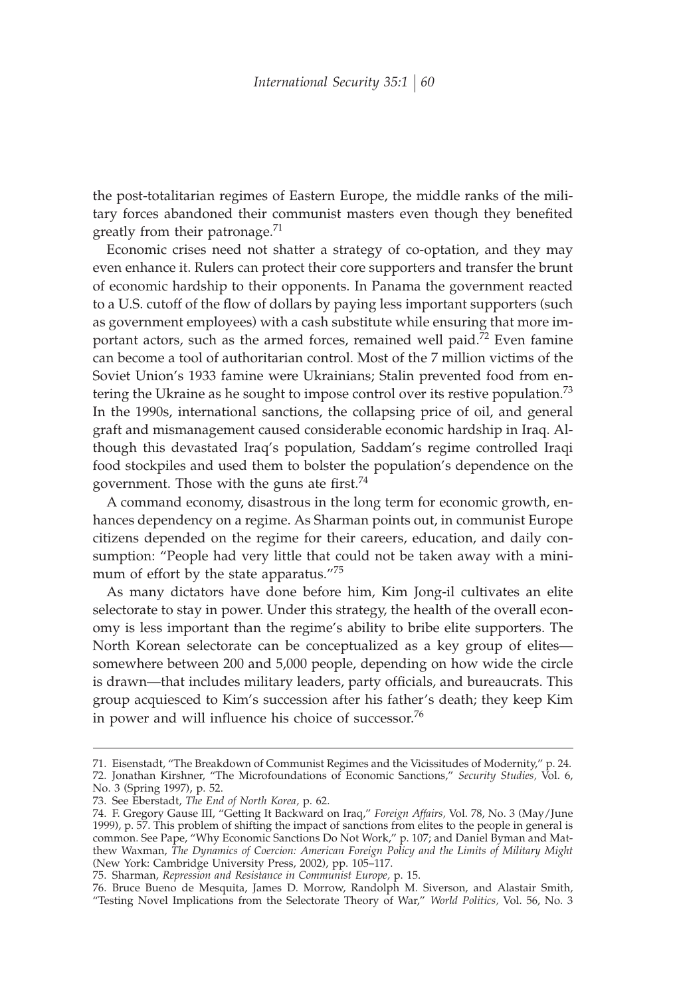the post-totalitarian regimes of Eastern Europe, the middle ranks of the military forces abandoned their communist masters even though they benefited greatly from their patronage.<sup>71</sup>

Economic crises need not shatter a strategy of co-optation, and they may even enhance it. Rulers can protect their core supporters and transfer the brunt of economic hardship to their opponents. In Panama the government reacted to a U.S. cutoff of the flow of dollars by paying less important supporters (such as government employees) with a cash substitute while ensuring that more important actors, such as the armed forces, remained well paid.<sup>72</sup> Even famine can become a tool of authoritarian control. Most of the 7 million victims of the Soviet Union's 1933 famine were Ukrainians; Stalin prevented food from entering the Ukraine as he sought to impose control over its restive population.<sup>73</sup> In the 1990s, international sanctions, the collapsing price of oil, and general graft and mismanagement caused considerable economic hardship in Iraq. Although this devastated Iraq's population, Saddam's regime controlled Iraqi food stockpiles and used them to bolster the population's dependence on the government. Those with the guns ate first. $74$ 

A command economy, disastrous in the long term for economic growth, enhances dependency on a regime. As Sharman points out, in communist Europe citizens depended on the regime for their careers, education, and daily consumption: "People had very little that could not be taken away with a minimum of effort by the state apparatus."<sup>75</sup>

As many dictators have done before him, Kim Jong-il cultivates an elite selectorate to stay in power. Under this strategy, the health of the overall economy is less important than the regime's ability to bribe elite supporters. The North Korean selectorate can be conceptualized as a key group of elites somewhere between 200 and 5,000 people, depending on how wide the circle is drawn—that includes military leaders, party officials, and bureaucrats. This group acquiesced to Kim's succession after his father's death; they keep Kim in power and will influence his choice of successor.<sup>76</sup>

<sup>71.</sup> Eisenstadt, "The Breakdown of Communist Regimes and the Vicissitudes of Modernity," p. 24. 72. Jonathan Kirshner, "The Microfoundations of Economic Sanctions," *Security Studies,* Vol. 6, No. 3 (Spring 1997), p. 52.

<sup>73.</sup> See Eberstadt, *The End of North Korea,* p. 62.

<sup>74.</sup> F. Gregory Gause III, "Getting It Backward on Iraq," *Foreign Affairs,* Vol. 78, No. 3 (May/June 1999), p. 57. This problem of shifting the impact of sanctions from elites to the people in general is common. See Pape, "Why Economic Sanctions Do Not Work," p. 107; and Daniel Byman and Matthew Waxman, *The Dynamics of Coercion: American Foreign Policy and the Limits of Military Might* (New York: Cambridge University Press, 2002), pp. 105–117.

<sup>75.</sup> Sharman, *Repression and Resistance in Communist Europe,* p. 15.

<sup>76.</sup> Bruce Bueno de Mesquita, James D. Morrow, Randolph M. Siverson, and Alastair Smith, "Testing Novel Implications from the Selectorate Theory of War," *World Politics,* Vol. 56, No. 3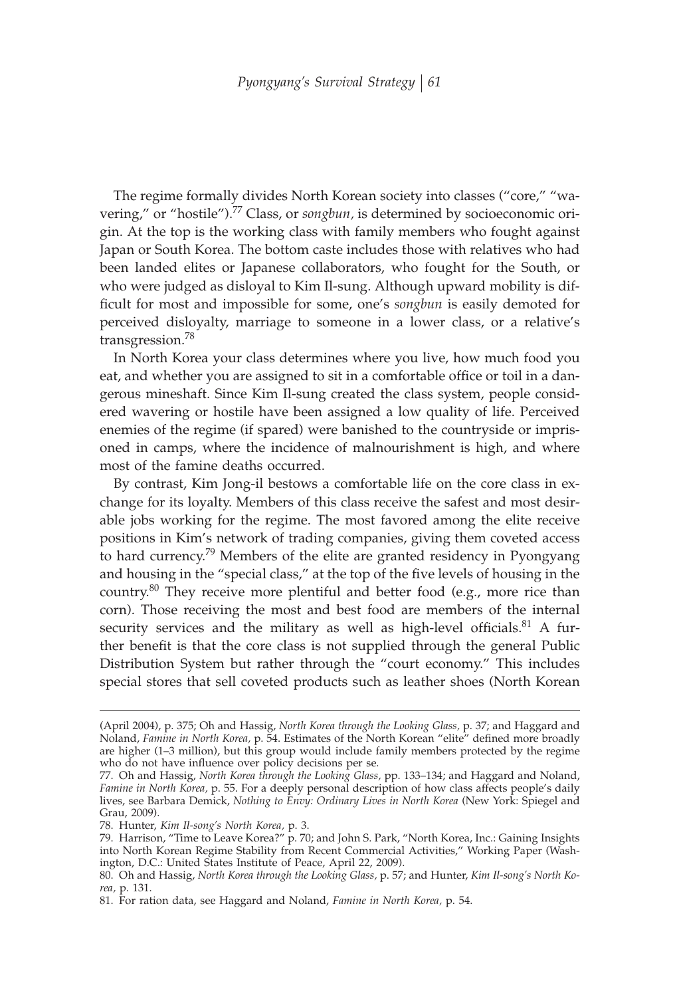The regime formally divides North Korean society into classes ("core," "wavering," or "hostile").<sup>77</sup> Class, or *songbun,* is determined by socioeconomic origin. At the top is the working class with family members who fought against Japan or South Korea. The bottom caste includes those with relatives who had been landed elites or Japanese collaborators, who fought for the South, or who were judged as disloyal to Kim Il-sung. Although upward mobility is difficult for most and impossible for some, one's *songbun* is easily demoted for perceived disloyalty, marriage to someone in a lower class, or a relative's transgression.<sup>78</sup>

In North Korea your class determines where you live, how much food you eat, and whether you are assigned to sit in a comfortable office or toil in a dangerous mineshaft. Since Kim Il-sung created the class system, people considered wavering or hostile have been assigned a low quality of life. Perceived enemies of the regime (if spared) were banished to the countryside or imprisoned in camps, where the incidence of malnourishment is high, and where most of the famine deaths occurred.

By contrast, Kim Jong-il bestows a comfortable life on the core class in exchange for its loyalty. Members of this class receive the safest and most desirable jobs working for the regime. The most favored among the elite receive positions in Kim's network of trading companies, giving them coveted access to hard currency.<sup>79</sup> Members of the elite are granted residency in Pyongyang and housing in the "special class," at the top of the five levels of housing in the country.80 They receive more plentiful and better food (e.g., more rice than corn). Those receiving the most and best food are members of the internal security services and the military as well as high-level officials. $81$  A further benefit is that the core class is not supplied through the general Public Distribution System but rather through the "court economy." This includes special stores that sell coveted products such as leather shoes (North Korean

<sup>(</sup>April 2004), p. 375; Oh and Hassig, *North Korea through the Looking Glass,* p. 37; and Haggard and Noland*, Famine in North Korea,* p. 54. Estimates of the North Korean "elite" defined more broadly are higher (1–3 million), but this group would include family members protected by the regime who do not have influence over policy decisions per se.

<sup>77.</sup> Oh and Hassig, *North Korea through the Looking Glass,* pp. 133–134; and Haggard and Noland, *Famine in North Korea,* p. 55. For a deeply personal description of how class affects people's daily lives, see Barbara Demick, *Nothing to Envy: Ordinary Lives in North Korea* (New York: Spiegel and Grau, 2009).

<sup>78.</sup> Hunter, *Kim Il-song's North Korea,* p. 3.

<sup>79.</sup> Harrison, "Time to Leave Korea?" p. 70; and John S. Park, "North Korea, Inc.: Gaining Insights into North Korean Regime Stability from Recent Commercial Activities," Working Paper (Washington, D.C.: United States Institute of Peace, April 22, 2009).

<sup>80.</sup> Oh and Hassig, *North Korea through the Looking Glass,* p. 57; and Hunter, *Kim Il-song's North Korea,* p. 131.

<sup>81.</sup> For ration data, see Haggard and Noland, *Famine in North Korea,* p. 54.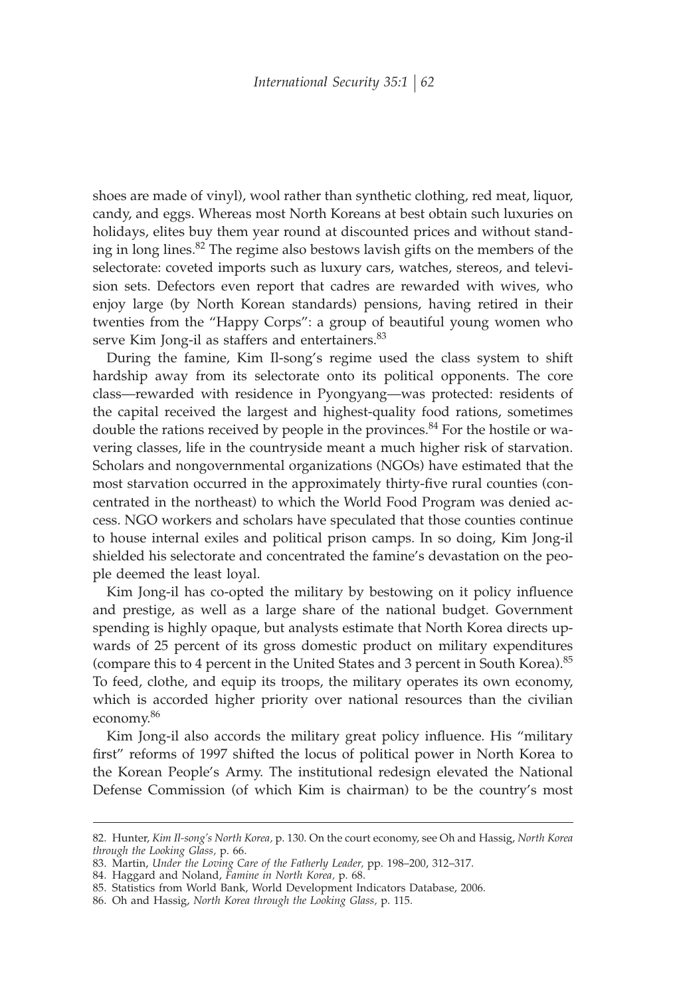shoes are made of vinyl), wool rather than synthetic clothing, red meat, liquor, candy, and eggs. Whereas most North Koreans at best obtain such luxuries on holidays, elites buy them year round at discounted prices and without standing in long lines.<sup>82</sup> The regime also bestows lavish gifts on the members of the selectorate: coveted imports such as luxury cars, watches, stereos, and television sets. Defectors even report that cadres are rewarded with wives, who enjoy large (by North Korean standards) pensions, having retired in their twenties from the "Happy Corps": a group of beautiful young women who serve Kim Jong-il as staffers and entertainers.<sup>83</sup>

During the famine, Kim Il-song's regime used the class system to shift hardship away from its selectorate onto its political opponents. The core class—rewarded with residence in Pyongyang—was protected: residents of the capital received the largest and highest-quality food rations, sometimes double the rations received by people in the provinces.<sup>84</sup> For the hostile or wavering classes, life in the countryside meant a much higher risk of starvation. Scholars and nongovernmental organizations (NGOs) have estimated that the most starvation occurred in the approximately thirty-five rural counties (concentrated in the northeast) to which the World Food Program was denied access. NGO workers and scholars have speculated that those counties continue to house internal exiles and political prison camps. In so doing, Kim Jong-il shielded his selectorate and concentrated the famine's devastation on the people deemed the least loyal.

Kim Jong-il has co-opted the military by bestowing on it policy influence and prestige, as well as a large share of the national budget. Government spending is highly opaque, but analysts estimate that North Korea directs upwards of 25 percent of its gross domestic product on military expenditures (compare this to 4 percent in the United States and 3 percent in South Korea).<sup>85</sup> To feed, clothe, and equip its troops, the military operates its own economy, which is accorded higher priority over national resources than the civilian economy.<sup>86</sup>

Kim Jong-il also accords the military great policy influence. His "military first" reforms of 1997 shifted the locus of political power in North Korea to the Korean People's Army. The institutional redesign elevated the National Defense Commission (of which Kim is chairman) to be the country's most

<sup>82.</sup> Hunter, *Kim Il-song's North Korea,* p. 130. On the court economy, see Oh and Hassig, *North Korea through the Looking Glass,* p. 66.

<sup>83.</sup> Martin, *Under the Loving Care of the Fatherly Leader,* pp. 198–200, 312–317.

<sup>84.</sup> Haggard and Noland, *Famine in North Korea,* p. 68.

<sup>85.</sup> Statistics from World Bank, World Development Indicators Database, 2006.

<sup>86.</sup> Oh and Hassig, *North Korea through the Looking Glass,* p. 115.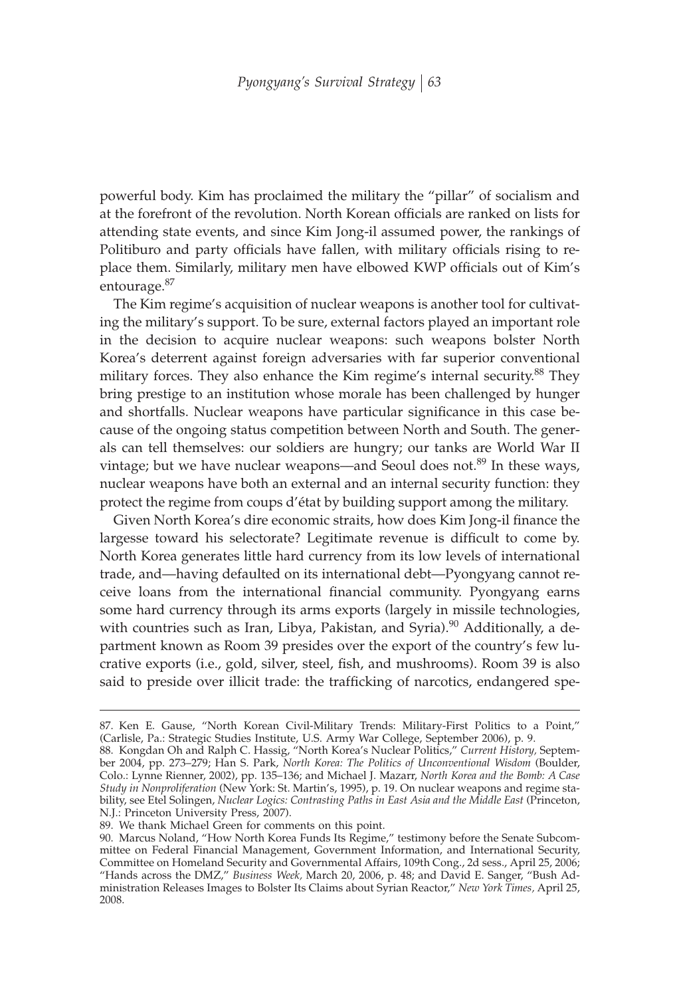powerful body. Kim has proclaimed the military the "pillar" of socialism and at the forefront of the revolution. North Korean officials are ranked on lists for attending state events, and since Kim Jong-il assumed power, the rankings of Politiburo and party officials have fallen, with military officials rising to replace them. Similarly, military men have elbowed KWP officials out of Kim's entourage.<sup>87</sup>

The Kim regime's acquisition of nuclear weapons is another tool for cultivating the military's support. To be sure, external factors played an important role in the decision to acquire nuclear weapons: such weapons bolster North Korea's deterrent against foreign adversaries with far superior conventional military forces. They also enhance the Kim regime's internal security.<sup>88</sup> They bring prestige to an institution whose morale has been challenged by hunger and shortfalls. Nuclear weapons have particular significance in this case because of the ongoing status competition between North and South. The generals can tell themselves: our soldiers are hungry; our tanks are World War II vintage; but we have nuclear weapons—and Seoul does not. $89$  In these ways, nuclear weapons have both an external and an internal security function: they protect the regime from coups d'état by building support among the military.

Given North Korea's dire economic straits, how does Kim Jong-il finance the largesse toward his selectorate? Legitimate revenue is difficult to come by. North Korea generates little hard currency from its low levels of international trade, and—having defaulted on its international debt—Pyongyang cannot receive loans from the international financial community. Pyongyang earns some hard currency through its arms exports (largely in missile technologies, with countries such as Iran, Libya, Pakistan, and Syria).<sup>90</sup> Additionally, a department known as Room 39 presides over the export of the country's few lucrative exports (i.e., gold, silver, steel, fish, and mushrooms). Room 39 is also said to preside over illicit trade: the trafficking of narcotics, endangered spe-

<sup>87.</sup> Ken E. Gause, "North Korean Civil-Military Trends: Military-First Politics to a Point," (Carlisle, Pa.: Strategic Studies Institute, U.S. Army War College, September 2006), p. 9.

<sup>88.</sup> Kongdan Oh and Ralph C. Hassig, "North Korea's Nuclear Politics," *Current History,* September 2004, pp. 273–279; Han S. Park, *North Korea: The Politics of Unconventional Wisdom* (Boulder, Colo.: Lynne Rienner, 2002), pp. 135–136; and Michael J. Mazarr, *North Korea and the Bomb: A Case Study in Nonproliferation* (New York: St. Martin's, 1995), p. 19. On nuclear weapons and regime stability, see Etel Solingen, *Nuclear Logics: Contrasting Paths in East Asia and the Middle East* (Princeton, N.J.: Princeton University Press, 2007).

<sup>89.</sup> We thank Michael Green for comments on this point.

<sup>90.</sup> Marcus Noland, "How North Korea Funds Its Regime," testimony before the Senate Subcommittee on Federal Financial Management, Government Information, and International Security, Committee on Homeland Security and Governmental Affairs, 109th Cong., 2d sess., April 25, 2006; "Hands across the DMZ," *Business Week,* March 20, 2006, p. 48; and David E. Sanger, "Bush Administration Releases Images to Bolster Its Claims about Syrian Reactor," *New York Times,* April 25, 2008.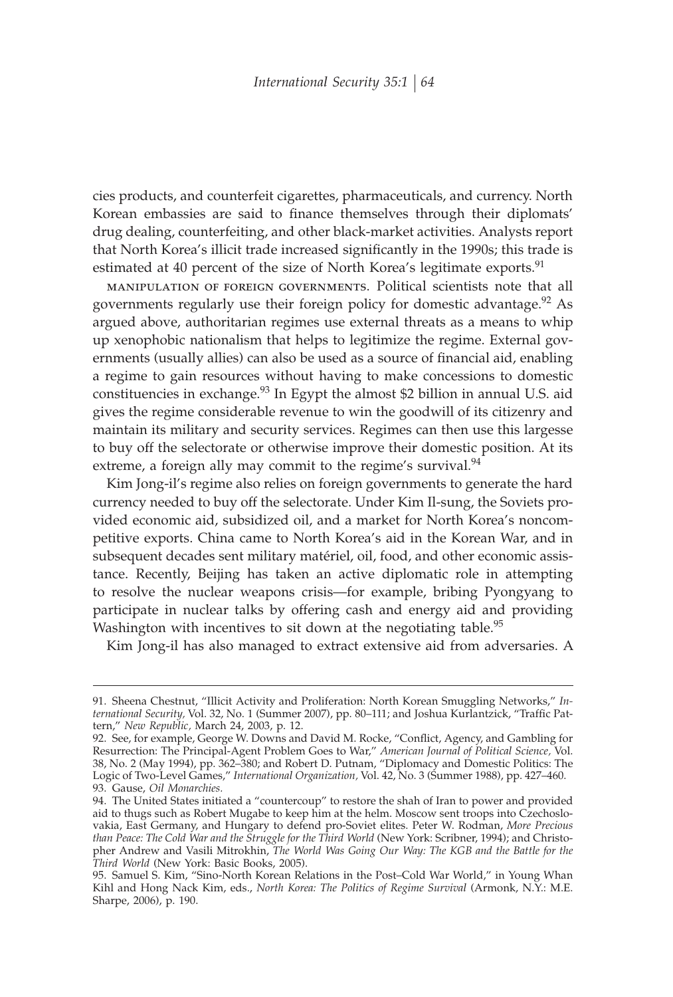cies products, and counterfeit cigarettes, pharmaceuticals, and currency. North Korean embassies are said to finance themselves through their diplomats' drug dealing, counterfeiting, and other black-market activities. Analysts report that North Korea's illicit trade increased significantly in the 1990s; this trade is estimated at 40 percent of the size of North Korea's legitimate exports.<sup>91</sup>

manipulation of foreign governments. Political scientists note that all governments regularly use their foreign policy for domestic advantage.<sup>92</sup> As argued above, authoritarian regimes use external threats as a means to whip up xenophobic nationalism that helps to legitimize the regime. External governments (usually allies) can also be used as a source of financial aid, enabling a regime to gain resources without having to make concessions to domestic constituencies in exchange.<sup>93</sup> In Egypt the almost \$2 billion in annual U.S. aid gives the regime considerable revenue to win the goodwill of its citizenry and maintain its military and security services. Regimes can then use this largesse to buy off the selectorate or otherwise improve their domestic position. At its extreme, a foreign ally may commit to the regime's survival.<sup>94</sup>

Kim Jong-il's regime also relies on foreign governments to generate the hard currency needed to buy off the selectorate. Under Kim Il-sung, the Soviets provided economic aid, subsidized oil, and a market for North Korea's noncompetitive exports. China came to North Korea's aid in the Korean War, and in subsequent decades sent military matériel, oil, food, and other economic assistance. Recently, Beijing has taken an active diplomatic role in attempting to resolve the nuclear weapons crisis—for example, bribing Pyongyang to participate in nuclear talks by offering cash and energy aid and providing Washington with incentives to sit down at the negotiating table.<sup>95</sup>

Kim Jong-il has also managed to extract extensive aid from adversaries. A

<sup>91.</sup> Sheena Chestnut, "Illicit Activity and Proliferation: North Korean Smuggling Networks," *International Security, Vol. 32, No. 1 (Summer 2007), pp. 80–111; and Joshua Kurlantzick, "Traffic Pat*tern," *New Republic,* March 24, 2003, p. 12.

<sup>92.</sup> See, for example, George W. Downs and David M. Rocke, "Conflict, Agency, and Gambling for Resurrection: The Principal-Agent Problem Goes to War," *American Journal of Political Science,* Vol. 38, No. 2 (May 1994), pp. 362–380; and Robert D. Putnam, "Diplomacy and Domestic Politics: The Logic of Two-Level Games," *International Organization,* Vol. 42, No. 3 (Summer 1988), pp. 427–460. 93. Gause, *Oil Monarchies.*

<sup>94.</sup> The United States initiated a "countercoup" to restore the shah of Iran to power and provided aid to thugs such as Robert Mugabe to keep him at the helm. Moscow sent troops into Czechoslovakia, East Germany, and Hungary to defend pro-Soviet elites. Peter W. Rodman, *More Precious than Peace: The Cold War and the Struggle for the Third World* (New York: Scribner, 1994); and Christopher Andrew and Vasili Mitrokhin, *The World Was Going Our Way: The KGB and the Battle for the Third World* (New York: Basic Books, 2005).

<sup>95.</sup> Samuel S. Kim, "Sino-North Korean Relations in the Post–Cold War World," in Young Whan Kihl and Hong Nack Kim, eds., *North Korea: The Politics of Regime Survival* (Armonk, N.Y.: M.E. Sharpe, 2006), p. 190.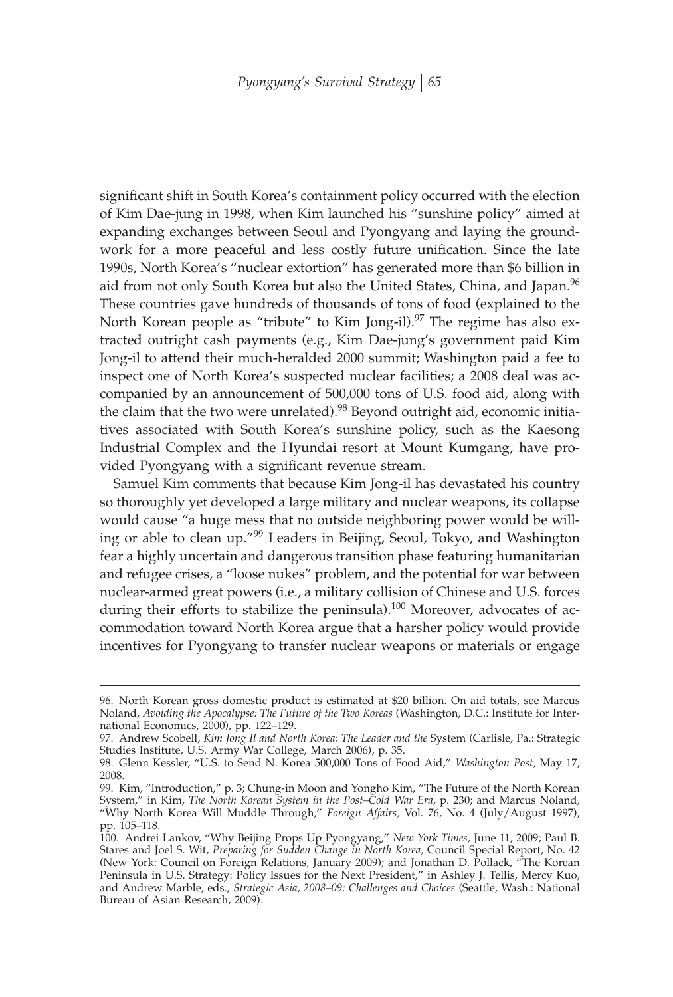significant shift in South Korea's containment policy occurred with the election of Kim Dae-jung in 1998, when Kim launched his "sunshine policy" aimed at expanding exchanges between Seoul and Pyongyang and laying the groundwork for a more peaceful and less costly future unification. Since the late 1990s, North Korea's "nuclear extortion" has generated more than \$6 billion in aid from not only South Korea but also the United States, China, and Japan.<sup>96</sup> These countries gave hundreds of thousands of tons of food (explained to the North Korean people as "tribute" to Kim Jong-il).<sup>97</sup> The regime has also extracted outright cash payments (e.g., Kim Dae-jung's government paid Kim Jong-il to attend their much-heralded 2000 summit; Washington paid a fee to inspect one of North Korea's suspected nuclear facilities; a 2008 deal was accompanied by an announcement of 500,000 tons of U.S. food aid, along with the claim that the two were unrelated).<sup>98</sup> Beyond outright aid, economic initiatives associated with South Korea's sunshine policy, such as the Kaesong Industrial Complex and the Hyundai resort at Mount Kumgang, have provided Pyongyang with a significant revenue stream.

Samuel Kim comments that because Kim Jong-il has devastated his country so thoroughly yet developed a large military and nuclear weapons, its collapse would cause "a huge mess that no outside neighboring power would be willing or able to clean up."<sup>99</sup> Leaders in Beijing, Seoul, Tokyo, and Washington fear a highly uncertain and dangerous transition phase featuring humanitarian and refugee crises, a "loose nukes" problem, and the potential for war between nuclear-armed great powers (i.e., a military collision of Chinese and U.S. forces during their efforts to stabilize the peninsula).<sup>100</sup> Moreover, advocates of accommodation toward North Korea argue that a harsher policy would provide incentives for Pyongyang to transfer nuclear weapons or materials or engage

<sup>96.</sup> North Korean gross domestic product is estimated at \$20 billion. On aid totals, see Marcus Noland, *Avoiding the Apocalypse: The Future of the Two Koreas* (Washington, D.C.: Institute for International Economics, 2000), pp. 122–129.

<sup>97.</sup> Andrew Scobell, *Kim Jong Il and North Korea: The Leader and the* System (Carlisle, Pa.: Strategic Studies Institute, U.S. Army War College, March 2006), p. 35.

<sup>98.</sup> Glenn Kessler, "U.S. to Send N. Korea 500,000 Tons of Food Aid," *Washington Post,* May 17, 2008.

<sup>99.</sup> Kim, "Introduction," p. 3; Chung-in Moon and Yongho Kim, "The Future of the North Korean System," in Kim, *The North Korean System in the Post–Cold War Era,* p. 230; and Marcus Noland, "Why North Korea Will Muddle Through," *Foreign Affairs,* Vol. 76, No. 4 (July/August 1997), pp. 105–118.

<sup>100.</sup> Andrei Lankov, "Why Beijing Props Up Pyongyang," *New York Times,* June 11, 2009; Paul B. Stares and Joel S. Wit, *Preparing for Sudden Change in North Korea,* Council Special Report, No. 42 (New York: Council on Foreign Relations, January 2009); and Jonathan D. Pollack, "The Korean Peninsula in U.S. Strategy: Policy Issues for the Next President," in Ashley J. Tellis, Mercy Kuo, and Andrew Marble, eds., *Strategic Asia, 2008–09: Challenges and Choices* (Seattle, Wash.: National Bureau of Asian Research, 2009).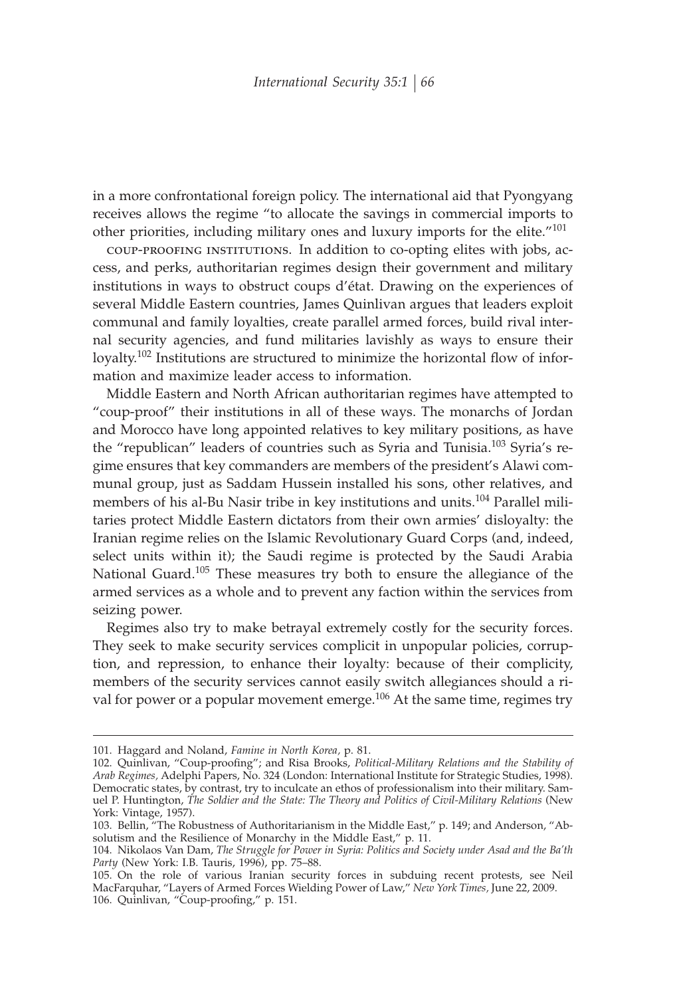in a more confrontational foreign policy. The international aid that Pyongyang receives allows the regime "to allocate the savings in commercial imports to other priorities, including military ones and luxury imports for the elite."<sup>101</sup>

coup-proofing institutions. In addition to co-opting elites with jobs, access, and perks, authoritarian regimes design their government and military institutions in ways to obstruct coups d'état. Drawing on the experiences of several Middle Eastern countries, James Quinlivan argues that leaders exploit communal and family loyalties, create parallel armed forces, build rival internal security agencies, and fund militaries lavishly as ways to ensure their loyalty.<sup>102</sup> Institutions are structured to minimize the horizontal flow of information and maximize leader access to information.

Middle Eastern and North African authoritarian regimes have attempted to "coup-proof" their institutions in all of these ways. The monarchs of Jordan and Morocco have long appointed relatives to key military positions, as have the "republican" leaders of countries such as Syria and Tunisia.<sup>103</sup> Syria's regime ensures that key commanders are members of the president's Alawi communal group, just as Saddam Hussein installed his sons, other relatives, and members of his al-Bu Nasir tribe in key institutions and units.<sup>104</sup> Parallel militaries protect Middle Eastern dictators from their own armies' disloyalty: the Iranian regime relies on the Islamic Revolutionary Guard Corps (and, indeed, select units within it); the Saudi regime is protected by the Saudi Arabia National Guard.<sup>105</sup> These measures try both to ensure the allegiance of the armed services as a whole and to prevent any faction within the services from seizing power.

Regimes also try to make betrayal extremely costly for the security forces. They seek to make security services complicit in unpopular policies, corruption, and repression, to enhance their loyalty: because of their complicity, members of the security services cannot easily switch allegiances should a rival for power or a popular movement emerge.<sup>106</sup> At the same time, regimes try

<sup>101.</sup> Haggard and Noland, *Famine in North Korea,* p. 81.

<sup>102.</sup> Quinlivan, "Coup-proofing"; and Risa Brooks, *Political-Military Relations and the Stability of Arab Regimes,* Adelphi Papers, No. 324 (London: International Institute for Strategic Studies, 1998). Democratic states, by contrast, try to inculcate an ethos of professionalism into their military. Samuel P. Huntington, *The Soldier and the State: The Theory and Politics of Civil-Military Relations* (New York: Vintage, 1957).

<sup>103.</sup> Bellin, "The Robustness of Authoritarianism in the Middle East," p. 149; and Anderson, "Absolutism and the Resilience of Monarchy in the Middle East," p. 11.

<sup>104.</sup> Nikolaos Van Dam, *The Struggle for Power in Syria: Politics and Society under Asad and the Ba'th Party* (New York: I.B. Tauris, 1996), pp. 75–88.

<sup>105.</sup> On the role of various Iranian security forces in subduing recent protests, see Neil MacFarquhar, "Layers of Armed Forces Wielding Power of Law," *New York Times,* June 22, 2009. 106. Quinlivan, "Coup-proofing," p. 151.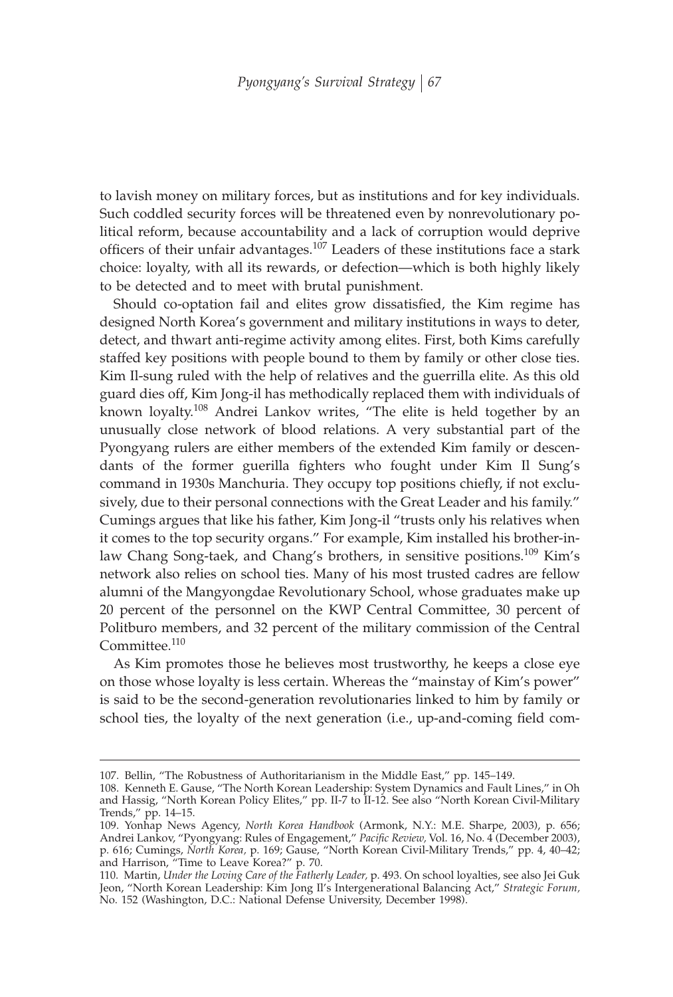to lavish money on military forces, but as institutions and for key individuals. Such coddled security forces will be threatened even by nonrevolutionary political reform, because accountability and a lack of corruption would deprive officers of their unfair advantages.<sup>107</sup> Leaders of these institutions face a stark choice: loyalty, with all its rewards, or defection—which is both highly likely to be detected and to meet with brutal punishment.

Should co-optation fail and elites grow dissatisfied, the Kim regime has designed North Korea's government and military institutions in ways to deter, detect, and thwart anti-regime activity among elites. First, both Kims carefully staffed key positions with people bound to them by family or other close ties. Kim Il-sung ruled with the help of relatives and the guerrilla elite. As this old guard dies off, Kim Jong-il has methodically replaced them with individuals of known loyalty.<sup>108</sup> Andrei Lankov writes, "The elite is held together by an unusually close network of blood relations. A very substantial part of the Pyongyang rulers are either members of the extended Kim family or descendants of the former guerilla fighters who fought under Kim Il Sung's command in 1930s Manchuria. They occupy top positions chiefly, if not exclusively, due to their personal connections with the Great Leader and his family." Cumings argues that like his father, Kim Jong-il "trusts only his relatives when it comes to the top security organs." For example, Kim installed his brother-inlaw Chang Song-taek, and Chang's brothers, in sensitive positions.<sup>109</sup> Kim's network also relies on school ties. Many of his most trusted cadres are fellow alumni of the Mangyongdae Revolutionary School, whose graduates make up 20 percent of the personnel on the KWP Central Committee, 30 percent of Politburo members, and 32 percent of the military commission of the Central Committee.<sup>110</sup>

As Kim promotes those he believes most trustworthy, he keeps a close eye on those whose loyalty is less certain. Whereas the "mainstay of Kim's power" is said to be the second-generation revolutionaries linked to him by family or school ties, the loyalty of the next generation (i.e., up-and-coming field com-

<sup>107.</sup> Bellin, "The Robustness of Authoritarianism in the Middle East," pp. 145–149.

<sup>108.</sup> Kenneth E. Gause, "The North Korean Leadership: System Dynamics and Fault Lines," in Oh and Hassig, "North Korean Policy Elites," pp. II-7 to II-12. See also "North Korean Civil-Military Trends," pp. 14–15.

<sup>109.</sup> Yonhap News Agency, *North Korea Handbook* (Armonk, N.Y.: M.E. Sharpe, 2003), p. 656; Andrei Lankov, "Pyongyang: Rules of Engagement*," Pacific Review,* Vol. 16, No. 4 (December 2003)*,* p. 616; Cumings, *North Korea,* p. 169; Gause, "North Korean Civil-Military Trends," pp. 4, 40–42; and Harrison, "Time to Leave Korea?" p. 70.

<sup>110.</sup> Martin, *Under the Loving Care of the Fatherly Leader,* p. 493. On school loyalties, see also Jei Guk Jeon, "North Korean Leadership: Kim Jong Il's Intergenerational Balancing Act," *Strategic Forum,* No. 152 (Washington, D.C.: National Defense University, December 1998).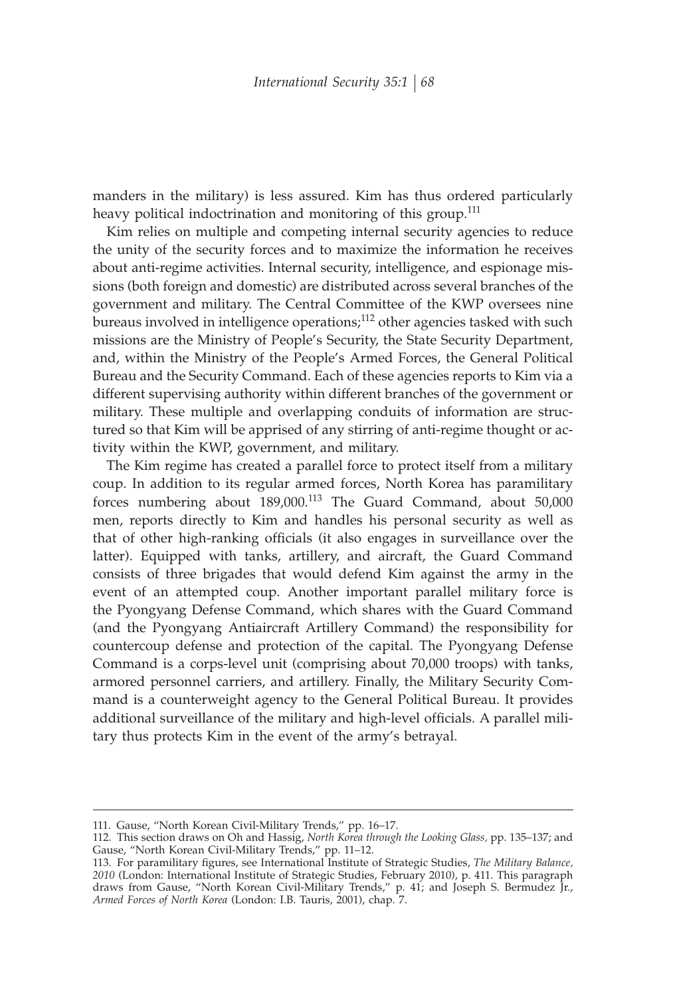manders in the military) is less assured. Kim has thus ordered particularly heavy political indoctrination and monitoring of this group.<sup>111</sup>

Kim relies on multiple and competing internal security agencies to reduce the unity of the security forces and to maximize the information he receives about anti-regime activities. Internal security, intelligence, and espionage missions (both foreign and domestic) are distributed across several branches of the government and military. The Central Committee of the KWP oversees nine bureaus involved in intelligence operations;<sup>112</sup> other agencies tasked with such missions are the Ministry of People's Security, the State Security Department, and, within the Ministry of the People's Armed Forces, the General Political Bureau and the Security Command. Each of these agencies reports to Kim via a different supervising authority within different branches of the government or military. These multiple and overlapping conduits of information are structured so that Kim will be apprised of any stirring of anti-regime thought or activity within the KWP, government, and military.

The Kim regime has created a parallel force to protect itself from a military coup. In addition to its regular armed forces, North Korea has paramilitary forces numbering about 189,000.<sup>113</sup> The Guard Command, about 50,000 men, reports directly to Kim and handles his personal security as well as that of other high-ranking officials (it also engages in surveillance over the latter). Equipped with tanks, artillery, and aircraft, the Guard Command consists of three brigades that would defend Kim against the army in the event of an attempted coup. Another important parallel military force is the Pyongyang Defense Command, which shares with the Guard Command (and the Pyongyang Antiaircraft Artillery Command) the responsibility for countercoup defense and protection of the capital. The Pyongyang Defense Command is a corps-level unit (comprising about 70,000 troops) with tanks, armored personnel carriers, and artillery. Finally, the Military Security Command is a counterweight agency to the General Political Bureau. It provides additional surveillance of the military and high-level officials. A parallel military thus protects Kim in the event of the army's betrayal.

<sup>111.</sup> Gause, "North Korean Civil-Military Trends," pp. 16–17.

<sup>112.</sup> This section draws on Oh and Hassig, *North Korea through the Looking Glass,* pp. 135–137; and Gause, "North Korean Civil-Military Trends," pp. 11–12.

<sup>113.</sup> For paramilitary figures, see International Institute of Strategic Studies, *The Military Balance*, *2010* (London: International Institute of Strategic Studies, February 2010), p. 411. This paragraph draws from Gause, "North Korean Civil-Military Trends," p. 41; and Joseph S. Bermudez Jr., *Armed Forces of North Korea* (London: I.B. Tauris, 2001), chap. 7.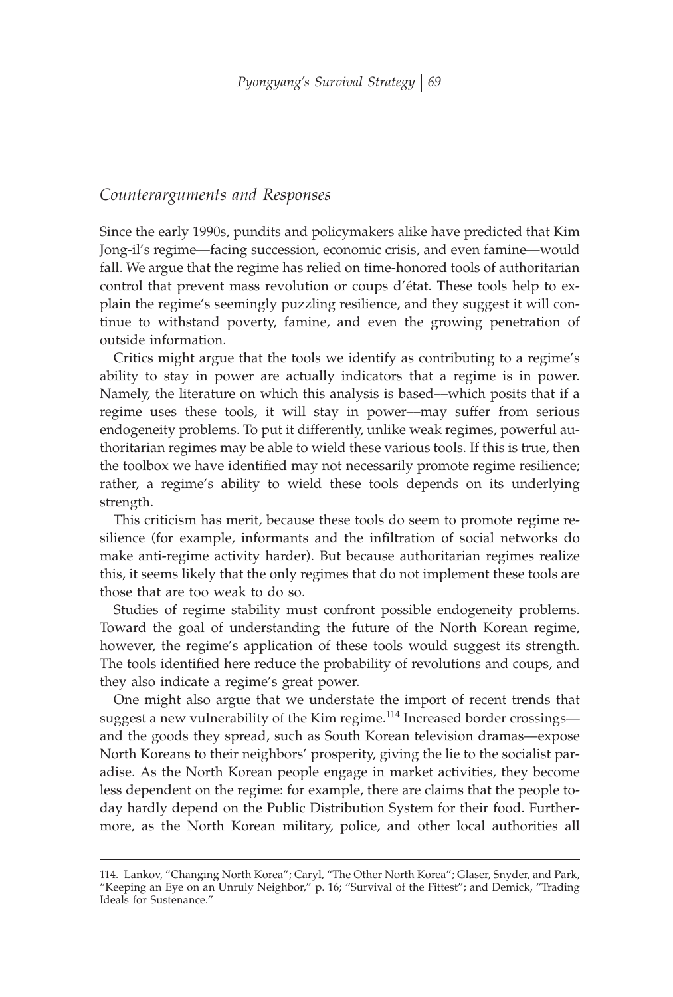### *Counterarguments and Responses*

Since the early 1990s, pundits and policymakers alike have predicted that Kim Jong-il's regime—facing succession, economic crisis, and even famine—would fall. We argue that the regime has relied on time-honored tools of authoritarian control that prevent mass revolution or coups d'état. These tools help to explain the regime's seemingly puzzling resilience, and they suggest it will continue to withstand poverty, famine, and even the growing penetration of outside information.

Critics might argue that the tools we identify as contributing to a regime's ability to stay in power are actually indicators that a regime is in power. Namely, the literature on which this analysis is based––which posits that if a regime uses these tools, it will stay in power––may suffer from serious endogeneity problems. To put it differently, unlike weak regimes, powerful authoritarian regimes may be able to wield these various tools. If this is true, then the toolbox we have identified may not necessarily promote regime resilience; rather, a regime's ability to wield these tools depends on its underlying strength.

This criticism has merit, because these tools do seem to promote regime resilience (for example, informants and the infiltration of social networks do make anti-regime activity harder). But because authoritarian regimes realize this, it seems likely that the only regimes that do not implement these tools are those that are too weak to do so.

Studies of regime stability must confront possible endogeneity problems. Toward the goal of understanding the future of the North Korean regime, however, the regime's application of these tools would suggest its strength. The tools identified here reduce the probability of revolutions and coups, and they also indicate a regime's great power.

One might also argue that we understate the import of recent trends that suggest a new vulnerability of the Kim regime.<sup>114</sup> Increased border crossingsand the goods they spread, such as South Korean television dramas—expose North Koreans to their neighbors' prosperity, giving the lie to the socialist paradise. As the North Korean people engage in market activities, they become less dependent on the regime: for example, there are claims that the people today hardly depend on the Public Distribution System for their food. Furthermore, as the North Korean military, police, and other local authorities all

<sup>114.</sup> Lankov, "Changing North Korea"; Caryl, "The Other North Korea"; Glaser, Snyder, and Park, "Keeping an Eye on an Unruly Neighbor," p. 16; "Survival of the Fittest"; and Demick, "Trading Ideals for Sustenance."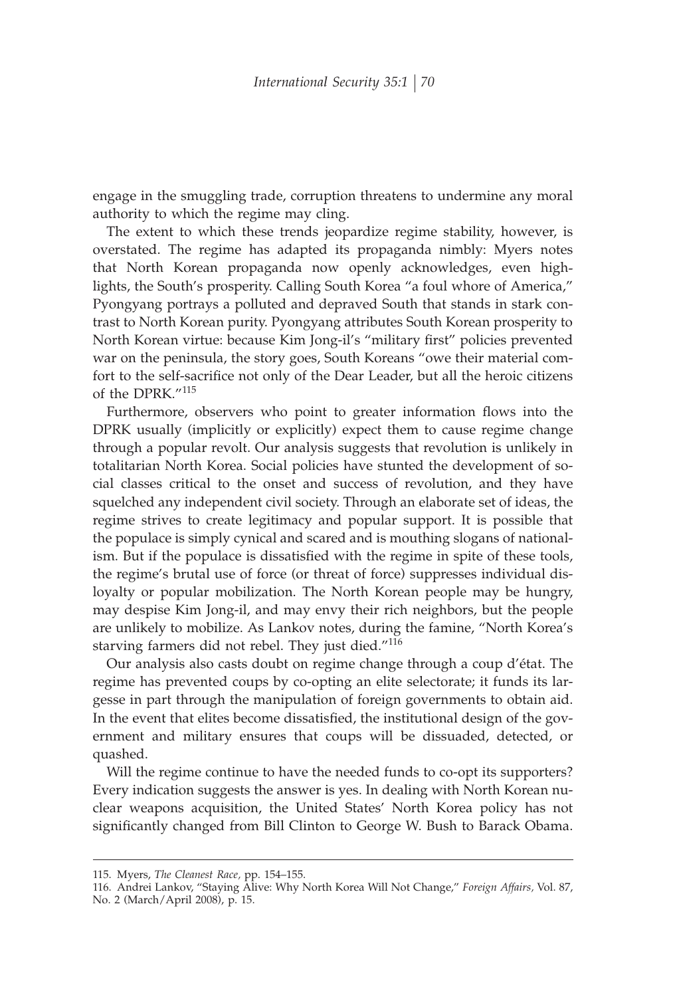engage in the smuggling trade, corruption threatens to undermine any moral authority to which the regime may cling.

The extent to which these trends jeopardize regime stability, however, is overstated. The regime has adapted its propaganda nimbly: Myers notes that North Korean propaganda now openly acknowledges, even highlights, the South's prosperity. Calling South Korea "a foul whore of America," Pyongyang portrays a polluted and depraved South that stands in stark contrast to North Korean purity. Pyongyang attributes South Korean prosperity to North Korean virtue: because Kim Jong-il's "military first" policies prevented war on the peninsula, the story goes, South Koreans "owe their material comfort to the self-sacrifice not only of the Dear Leader, but all the heroic citizens of the DPRK."<sup>115</sup>

Furthermore, observers who point to greater information flows into the DPRK usually (implicitly or explicitly) expect them to cause regime change through a popular revolt. Our analysis suggests that revolution is unlikely in totalitarian North Korea. Social policies have stunted the development of social classes critical to the onset and success of revolution, and they have squelched any independent civil society. Through an elaborate set of ideas, the regime strives to create legitimacy and popular support. It is possible that the populace is simply cynical and scared and is mouthing slogans of nationalism. But if the populace is dissatisfied with the regime in spite of these tools, the regime's brutal use of force (or threat of force) suppresses individual disloyalty or popular mobilization. The North Korean people may be hungry, may despise Kim Jong-il, and may envy their rich neighbors, but the people are unlikely to mobilize. As Lankov notes, during the famine, "North Korea's starving farmers did not rebel. They just died."<sup>116</sup>

Our analysis also casts doubt on regime change through a coup d'état. The regime has prevented coups by co-opting an elite selectorate; it funds its largesse in part through the manipulation of foreign governments to obtain aid. In the event that elites become dissatisfied, the institutional design of the government and military ensures that coups will be dissuaded, detected, or quashed.

Will the regime continue to have the needed funds to co-opt its supporters? Every indication suggests the answer is yes. In dealing with North Korean nuclear weapons acquisition, the United States' North Korea policy has not significantly changed from Bill Clinton to George W. Bush to Barack Obama.

<sup>115.</sup> Myers, *The Cleanest Race,* pp. 154–155.

<sup>116.</sup> Andrei Lankov, "Staying Alive: Why North Korea Will Not Change," *Foreign Affairs,* Vol. 87, No. 2 (March/April 2008), p. 15.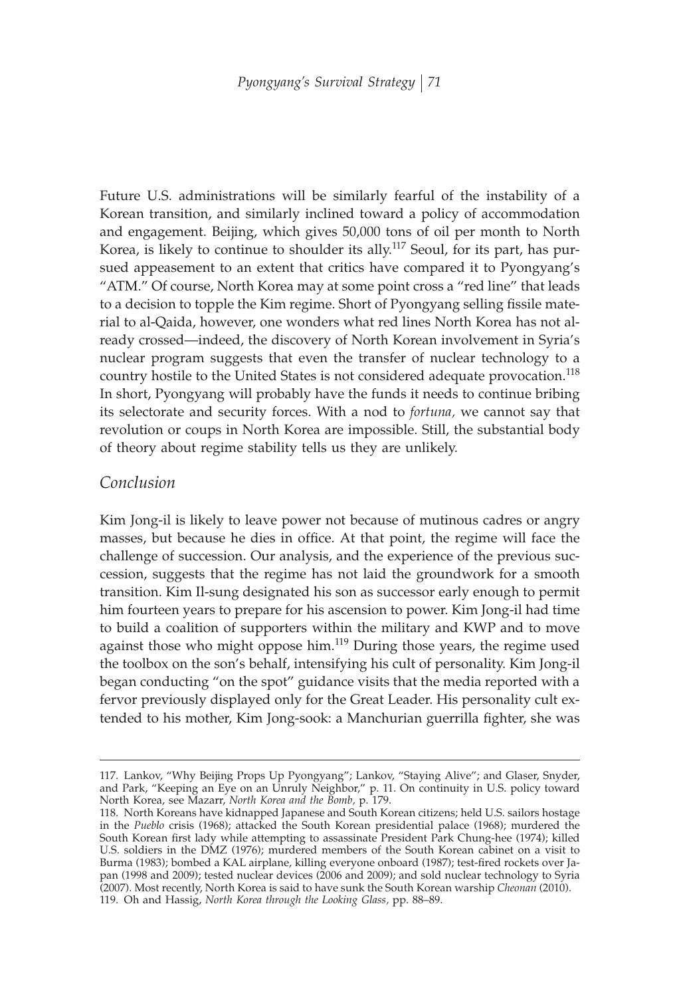Future U.S. administrations will be similarly fearful of the instability of a Korean transition, and similarly inclined toward a policy of accommodation and engagement. Beijing, which gives 50,000 tons of oil per month to North Korea, is likely to continue to shoulder its ally.<sup>117</sup> Seoul, for its part, has pursued appeasement to an extent that critics have compared it to Pyongyang's "ATM." Of course, North Korea may at some point cross a "red line" that leads to a decision to topple the Kim regime. Short of Pyongyang selling fissile material to al-Qaida, however, one wonders what red lines North Korea has not already crossed—indeed, the discovery of North Korean involvement in Syria's nuclear program suggests that even the transfer of nuclear technology to a country hostile to the United States is not considered adequate provocation.<sup>118</sup> In short, Pyongyang will probably have the funds it needs to continue bribing its selectorate and security forces. With a nod to *fortuna,* we cannot say that revolution or coups in North Korea are impossible. Still, the substantial body of theory about regime stability tells us they are unlikely.

## *Conclusion*

Kim Jong-il is likely to leave power not because of mutinous cadres or angry masses, but because he dies in office. At that point, the regime will face the challenge of succession. Our analysis, and the experience of the previous succession, suggests that the regime has not laid the groundwork for a smooth transition. Kim Il-sung designated his son as successor early enough to permit him fourteen years to prepare for his ascension to power. Kim Jong-il had time to build a coalition of supporters within the military and KWP and to move against those who might oppose him.<sup>119</sup> During those years, the regime used the toolbox on the son's behalf, intensifying his cult of personality. Kim Jong-il began conducting "on the spot" guidance visits that the media reported with a fervor previously displayed only for the Great Leader. His personality cult extended to his mother, Kim Jong-sook: a Manchurian guerrilla fighter, she was

<sup>117.</sup> Lankov, "Why Beijing Props Up Pyongyang"; Lankov, "Staying Alive"; and Glaser, Snyder, and Park, "Keeping an Eye on an Unruly Neighbor," p. 11. On continuity in U.S. policy toward North Korea, see Mazarr, *North Korea and the Bomb,* p. 179.

<sup>118.</sup> North Koreans have kidnapped Japanese and South Korean citizens; held U.S. sailors hostage in the *Pueblo* crisis (1968); attacked the South Korean presidential palace (1968); murdered the South Korean first lady while attempting to assassinate President Park Chung-hee (1974); killed U.S. soldiers in the DMZ (1976); murdered members of the South Korean cabinet on a visit to Burma (1983); bombed a KAL airplane, killing everyone onboard (1987); test-fired rockets over Japan (1998 and 2009); tested nuclear devices (2006 and 2009); and sold nuclear technology to Syria (2007). Most recently, North Korea is said to have sunk the South Korean warship *Cheonan* (2010). 119. Oh and Hassig, *North Korea through the Looking Glass,* pp. 88–89.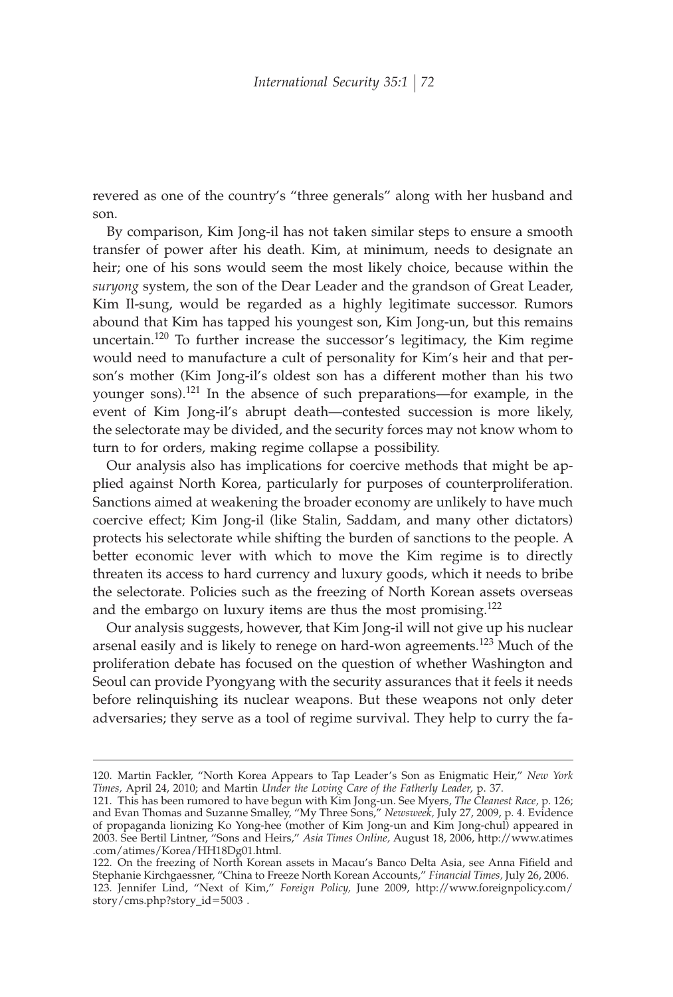revered as one of the country's "three generals" along with her husband and son.

By comparison, Kim Jong-il has not taken similar steps to ensure a smooth transfer of power after his death. Kim, at minimum, needs to designate an heir; one of his sons would seem the most likely choice, because within the *suryong* system, the son of the Dear Leader and the grandson of Great Leader, Kim Il-sung, would be regarded as a highly legitimate successor. Rumors abound that Kim has tapped his youngest son, Kim Jong-un, but this remains uncertain.<sup>120</sup> To further increase the successor's legitimacy, the Kim regime would need to manufacture a cult of personality for Kim's heir and that person's mother (Kim Jong-il's oldest son has a different mother than his two younger sons).<sup>121</sup> In the absence of such preparations—for example, in the event of Kim Jong-il's abrupt death—contested succession is more likely, the selectorate may be divided, and the security forces may not know whom to turn to for orders, making regime collapse a possibility.

Our analysis also has implications for coercive methods that might be applied against North Korea, particularly for purposes of counterproliferation. Sanctions aimed at weakening the broader economy are unlikely to have much coercive effect; Kim Jong-il (like Stalin, Saddam, and many other dictators) protects his selectorate while shifting the burden of sanctions to the people. A better economic lever with which to move the Kim regime is to directly threaten its access to hard currency and luxury goods, which it needs to bribe the selectorate. Policies such as the freezing of North Korean assets overseas and the embargo on luxury items are thus the most promising.<sup>122</sup>

Our analysis suggests, however, that Kim Jong-il will not give up his nuclear arsenal easily and is likely to renege on hard-won agreements.<sup>123</sup> Much of the proliferation debate has focused on the question of whether Washington and Seoul can provide Pyongyang with the security assurances that it feels it needs before relinquishing its nuclear weapons. But these weapons not only deter adversaries; they serve as a tool of regime survival. They help to curry the fa-

<sup>120.</sup> Martin Fackler, "North Korea Appears to Tap Leader's Son as Enigmatic Heir," *New York Times,* April 24, 2010; and Martin *Under the Loving Care of the Fatherly Leader,* p. 37.

<sup>121.</sup> This has been rumored to have begun with Kim Jong-un. See Myers, *The Cleanest Race,* p. 126; and Evan Thomas and Suzanne Smalley, "My Three Sons," *Newsweek,* July 27, 2009, p. 4. Evidence of propaganda lionizing Ko Yong-hee (mother of Kim Jong-un and Kim Jong-chul) appeared in 2003. See Bertil Lintner, "Sons and Heirs," *Asia Times Online,* August 18, 2006, http://www.atimes .com/atimes/Korea/HH18Dg01.html.

<sup>122.</sup> On the freezing of North Korean assets in Macau's Banco Delta Asia, see Anna Fifield and Stephanie Kirchgaessner, "China to Freeze North Korean Accounts," *Financial Times,* July 26, 2006. 123. Jennifer Lind, "Next of Kim," *Foreign Policy,* June 2009, http://www.foreignpolicy.com/ story/cms.php?story\_id-5003 .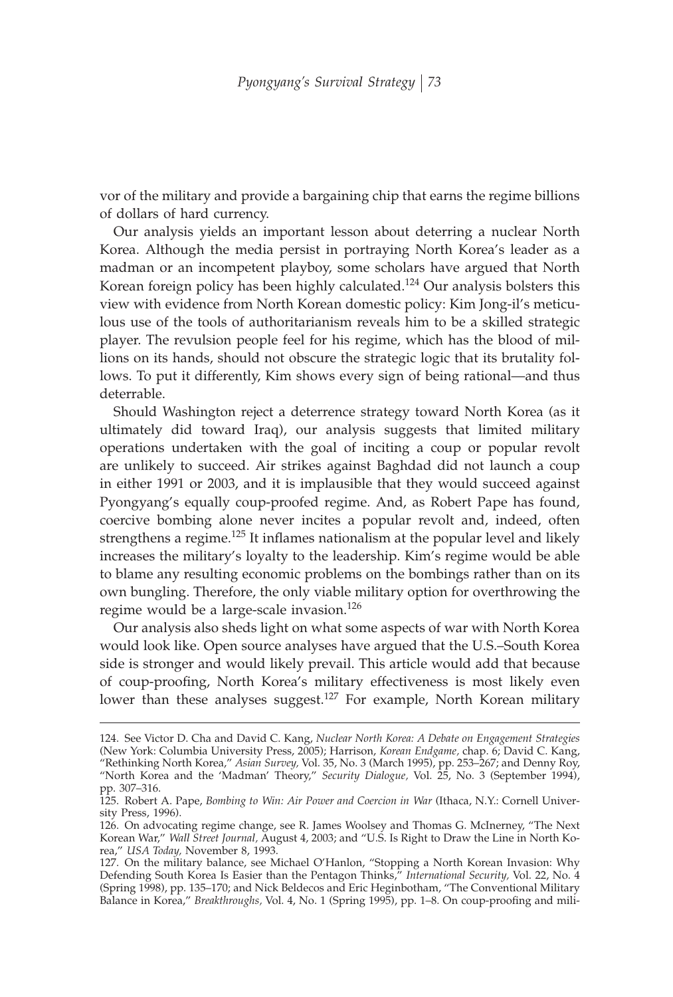vor of the military and provide a bargaining chip that earns the regime billions of dollars of hard currency.

Our analysis yields an important lesson about deterring a nuclear North Korea. Although the media persist in portraying North Korea's leader as a madman or an incompetent playboy, some scholars have argued that North Korean foreign policy has been highly calculated.<sup>124</sup> Our analysis bolsters this view with evidence from North Korean domestic policy: Kim Jong-il's meticulous use of the tools of authoritarianism reveals him to be a skilled strategic player. The revulsion people feel for his regime, which has the blood of millions on its hands, should not obscure the strategic logic that its brutality follows. To put it differently, Kim shows every sign of being rational—and thus deterrable.

Should Washington reject a deterrence strategy toward North Korea (as it ultimately did toward Iraq), our analysis suggests that limited military operations undertaken with the goal of inciting a coup or popular revolt are unlikely to succeed. Air strikes against Baghdad did not launch a coup in either 1991 or 2003, and it is implausible that they would succeed against Pyongyang's equally coup-proofed regime. And, as Robert Pape has found, coercive bombing alone never incites a popular revolt and, indeed, often strengthens a regime.<sup>125</sup> It inflames nationalism at the popular level and likely increases the military's loyalty to the leadership. Kim's regime would be able to blame any resulting economic problems on the bombings rather than on its own bungling. Therefore, the only viable military option for overthrowing the regime would be a large-scale invasion.<sup>126</sup>

Our analysis also sheds light on what some aspects of war with North Korea would look like. Open source analyses have argued that the U.S.–South Korea side is stronger and would likely prevail. This article would add that because of coup-proofing, North Korea's military effectiveness is most likely even lower than these analyses suggest.<sup>127</sup> For example, North Korean military

<sup>124.</sup> See Victor D. Cha and David C. Kang, *Nuclear North Korea: A Debate on Engagement Strategies* (New York: Columbia University Press, 2005); Harrison, *Korean Endgame,* chap. 6; David C. Kang, "Rethinking North Korea," *Asian Survey,* Vol. 35, No. 3 (March 1995), pp. 253–267; and Denny Roy, "North Korea and the 'Madman' Theory," *Security Dialogue,* Vol. 25, No. 3 (September 1994), pp. 307–316.

<sup>125.</sup> Robert A. Pape, *Bombing to Win: Air Power and Coercion in War* (Ithaca, N.Y.: Cornell University Press, 1996).

<sup>126.</sup> On advocating regime change, see R. James Woolsey and Thomas G. McInerney, "The Next Korean War," *Wall Street Journal,* August 4, 2003; and "U.S. Is Right to Draw the Line in North Korea," *USA Today,* November 8, 1993.

<sup>127.</sup> On the military balance, see Michael O'Hanlon, "Stopping a North Korean Invasion: Why Defending South Korea Is Easier than the Pentagon Thinks," *International Security,* Vol. 22, No. 4 (Spring 1998), pp. 135–170; and Nick Beldecos and Eric Heginbotham, "The Conventional Military Balance in Korea," *Breakthroughs, Vol. 4, No. 1* (Spring 1995), pp. 1–8. On coup-proofing and mili-